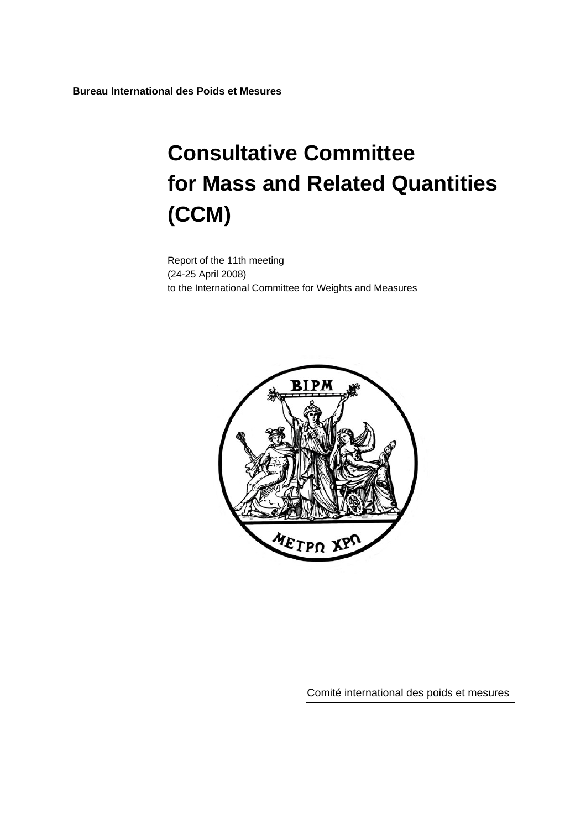**Bureau International des Poids et Mesures** 

# **Consultative Committee for Mass and Related Quantities (CCM)**

Report of the 11th meeting (24-25 April 2008) to the International Committee for Weights and Measures



Comité international des poids et mesures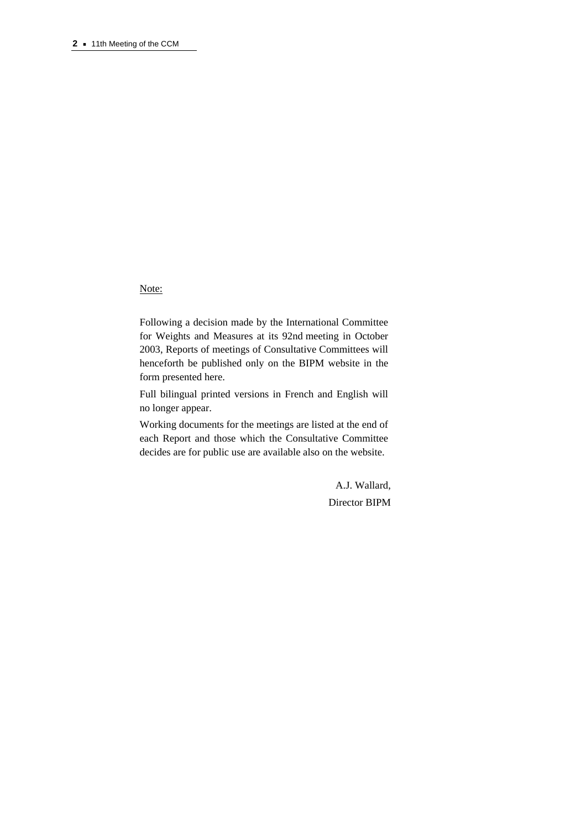Note:

Following a decision made by the International Committee for Weights and Measures at its 92nd meeting in October 2003, Reports of meetings of Consultative Committees will henceforth be published only on the BIPM website in the form presented here.

Full bilingual printed versions in French and English will no longer appear.

Working documents for the meetings are listed at the end of each Report and those which the Consultative Committee decides are for public use are available also on the website.

> A.J. Wallard, Director BIPM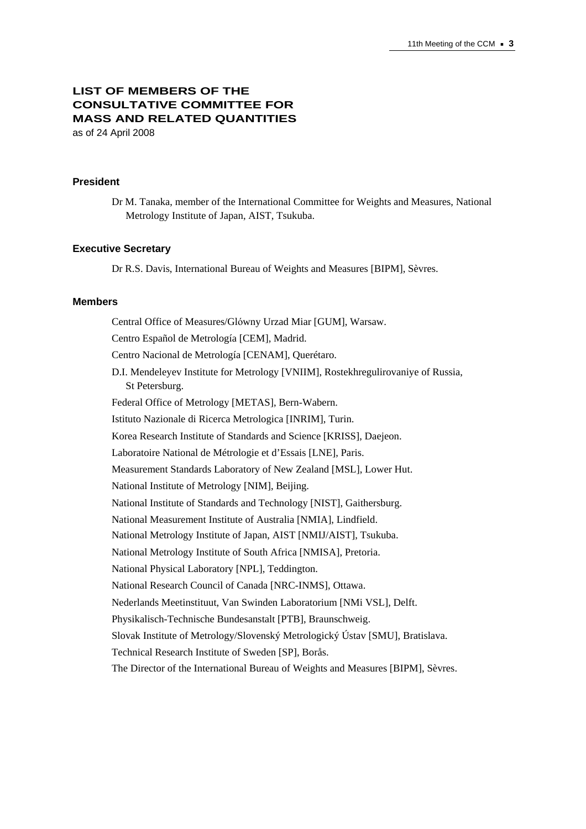# **LIST OF MEMBERS OF THE CONSULTATIVE COMMITTEE FOR MASS AND RELATED QUANTITIES**  as of 24 April 2008

#### **President**

Dr M. Tanaka, member of the International Committee for Weights and Measures, National Metrology Institute of Japan, AIST, Tsukuba.

#### **Executive Secretary**

Dr R.S. Davis, International Bureau of Weights and Measures [BIPM], Sèvres.

#### **Members**

Central Office of Measures/Glόwny Urzad Miar [GUM], Warsaw. Centro Español de Metrología [CEM], Madrid. Centro Nacional de Metrología [CENAM], Querétaro. D.I. Mendeleyev Institute for Metrology [VNIIM], Rostekhregulirovaniye of Russia, St Petersburg. Federal Office of Metrology [METAS], Bern-Wabern. Istituto Nazionale di Ricerca Metrologica [INRIM], Turin. Korea Research Institute of Standards and Science [KRISS], Daejeon. Laboratoire National de Métrologie et d'Essais [LNE], Paris. Measurement Standards Laboratory of New Zealand [MSL], Lower Hut. National Institute of Metrology [NIM], Beijing. National Institute of Standards and Technology [NIST], Gaithersburg. National Measurement Institute of Australia [NMIA], Lindfield. National Metrology Institute of Japan, AIST [NMIJ/AIST], Tsukuba. National Metrology Institute of South Africa [NMISA], Pretoria. National Physical Laboratory [NPL], Teddington. National Research Council of Canada [NRC-INMS], Ottawa. Nederlands Meetinstituut, Van Swinden Laboratorium [NMi VSL], Delft. Physikalisch-Technische Bundesanstalt [PTB], Braunschweig. Slovak Institute of Metrology/Slovenský Metrologický Ústav [SMU], Bratislava. Technical Research Institute of Sweden [SP], Borås. The Director of the International Bureau of Weights and Measures [BIPM], Sèvres.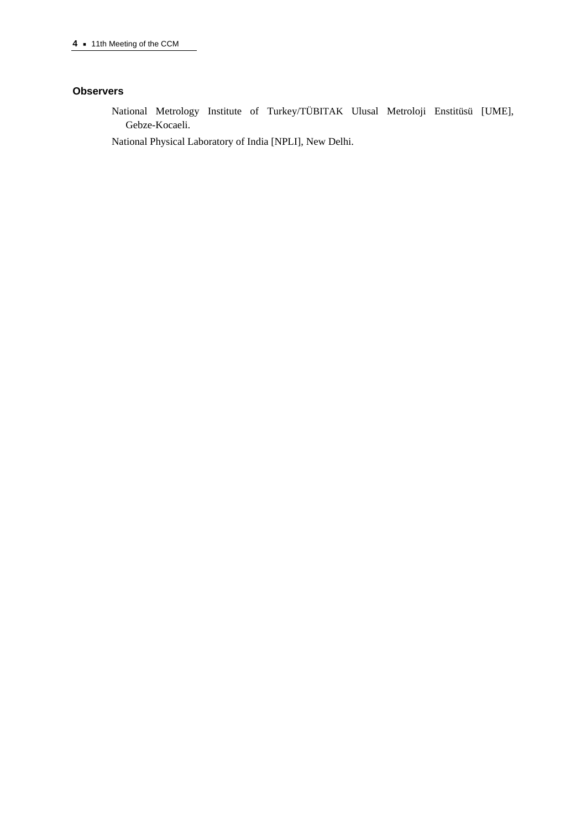#### **Observers**

National Metrology Institute of Turkey/TÜBITAK Ulusal Metroloji Enstitüsü [UME], Gebze-Kocaeli.

National Physical Laboratory of India [NPLI], New Delhi.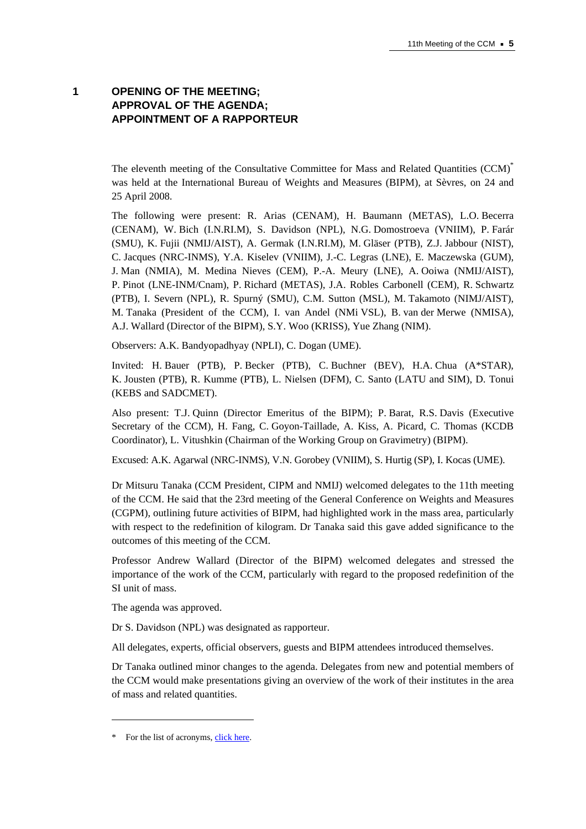# **1 OPENING OF THE MEETING; APPROVAL OF THE AGENDA; APPOINTMENT OF A RAPPORTEUR**

The eleventh meeting of the Consultative Committee for Mass and Related Quantities (CCM)<sup>\*</sup> was held at the International Bureau of Weights and Measures (BIPM), at Sèvres, on 24 and 25 April 2008.

The following were present: R. Arias (CENAM), H. Baumann (METAS), L.O. Becerra (CENAM), W. Bich (I.N.RI.M), S. Davidson (NPL), N.G. Domostroeva (VNIIM), P. Farár (SMU), K. Fujii (NMIJ/AIST), A. Germak (I.N.RI.M), M. Gläser (PTB), Z.J. Jabbour (NIST), C. Jacques (NRC-INMS), Y.A. Kiselev (VNIIM), J.-C. Legras (LNE), E. Maczewska (GUM), J. Man (NMIA), M. Medina Nieves (CEM), P.-A. Meury (LNE), A. Ooiwa (NMIJ/AIST), P. Pinot (LNE-INM/Cnam), P. Richard (METAS), J.A. Robles Carbonell (CEM), R. Schwartz (PTB), I. Severn (NPL), R. Spurný (SMU), C.M. Sutton (MSL), M. Takamoto (NIMJ/AIST), M. Tanaka (President of the CCM), I. van Andel (NMi VSL), B. van der Merwe (NMISA), A.J. Wallard (Director of the BIPM), S.Y. Woo (KRISS), Yue Zhang (NIM).

Observers: A.K. Bandyopadhyay (NPLI), C. Dogan (UME).

Invited: H. Bauer (PTB), P. Becker (PTB), C. Buchner (BEV), H.A. Chua (A\*STAR), K. Jousten (PTB), R. Kumme (PTB), L. Nielsen (DFM), C. Santo (LATU and SIM), D. Tonui (KEBS and SADCMET).

Also present: T.J. Quinn (Director Emeritus of the BIPM); P. Barat, R.S. Davis (Executive Secretary of the CCM), H. Fang, C. Goyon-Taillade, A. Kiss, A. Picard, C. Thomas (KCDB Coordinator), L. Vitushkin (Chairman of the Working Group on Gravimetry) (BIPM).

Excused: A.K. Agarwal (NRC-INMS), V.N. Gorobey (VNIIM), S. Hurtig (SP), I. Kocas (UME).

Dr Mitsuru Tanaka (CCM President, CIPM and NMIJ) welcomed delegates to the 11th meeting of the CCM. He said that the 23rd meeting of the General Conference on Weights and Measures (CGPM), outlining future activities of BIPM, had highlighted work in the mass area, particularly with respect to the redefinition of kilogram. Dr Tanaka said this gave added significance to the outcomes of this meeting of the CCM.

Professor Andrew Wallard (Director of the BIPM) welcomed delegates and stressed the importance of the work of the CCM, particularly with regard to the proposed redefinition of the SI unit of mass.

The agenda was approved.

Dr S. Davidson (NPL) was designated as rapporteur.

All delegates, experts, official observers, guests and BIPM attendees introduced themselves.

Dr Tanaka outlined minor changes to the agenda. Delegates from new and potential members of the CCM would make presentations giving an overview of the work of their institutes in the area of mass and related quantities.

 $\overline{a}$ 

<sup>\*</sup> For the list of acrony[ms, click here.](https://www.bipm.org/en/practical_info/acronyms.html)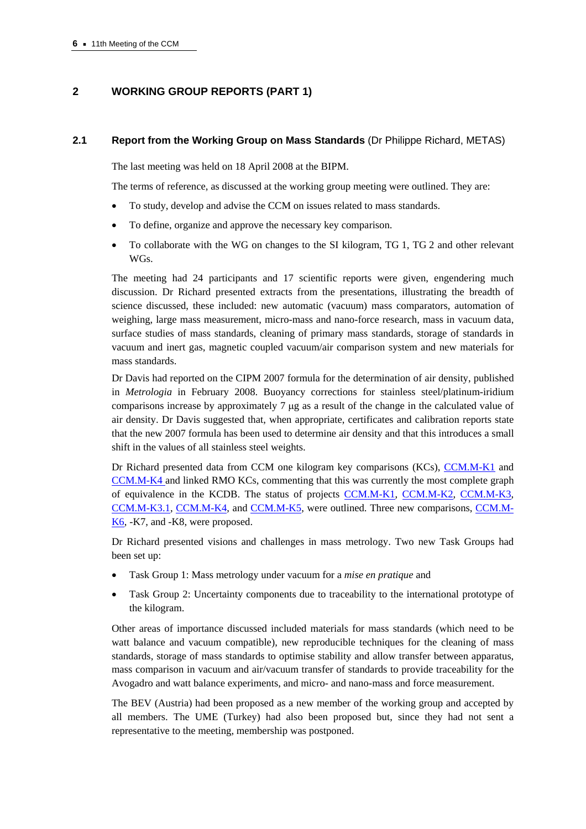# **2 WORKING GROUP REPORTS (PART 1)**

#### **2.1 Report from the Working Group on Mass Standards** (Dr Philippe Richard, METAS)

The last meeting was held on 18 April 2008 at the BIPM.

The terms of reference, as discussed at the working group meeting were outlined. They are:

- To study, develop and advise the CCM on issues related to mass standards.
- To define, organize and approve the necessary key comparison.
- To collaborate with the WG on changes to the SI kilogram, TG 1, TG 2 and other relevant WGs.

The meeting had 24 participants and 17 scientific reports were given, engendering much discussion. Dr Richard presented extracts from the presentations, illustrating the breadth of science discussed, these included: new automatic (vacuum) mass comparators, automation of weighing, large mass measurement, micro-mass and nano-force research, mass in vacuum data, surface studies of mass standards, cleaning of primary mass standards, storage of standards in vacuum and inert gas, magnetic coupled vacuum/air comparison system and new materials for mass standards.

Dr Davis had reported on the CIPM 2007 formula for the determination of air density, published in *Metrologia* in February 2008. Buoyancy corrections for stainless steel/platinum-iridium comparisons increase by approximately 7 μg as a result of the change in the calculated value of air density. Dr Davis suggested that, when appropriate, certificates and calibration reports state that the new 2007 formula has been used to determine air density and that this introduces a small shift in the values of all stainless steel weights.

Dr Richard presented data from CCM one kilogram key comparisons (KCs[\), CCM.M-K1 an](http://kcdb.bipm.org/appendixB/KCDB_ApB_info.asp?cmp_idy=400&cmp_cod=CCM.M-K1&prov=exalead)d [CCM.M-K4 an](http://kcdb.bipm.org/appendixB/KCDB_ApB_info.asp?cmp_idy=403&cmp_cod=CCM.M-K4&prov=exalead)d linked RMO KCs, commenting that this was currently the most complete graph of equivalence in the KCDB. The status of projec[ts CCM.M-K1,](http://kcdb.bipm.org/appendixB/KCDB_ApB_info.asp?cmp_idy=400&cmp_cod=CCM.M-K1&prov=exalead) [CCM.M-K2,](http://kcdb.bipm.org/appendixB/KCDB_ApB_info.asp?cmp_idy=401&cmp_cod=CCM.M-K2%20&prov=exalead) [CCM.M-K3,](http://kcdb.bipm.org/appendixB/KCDB_ApB_info.asp?cmp_idy=402&cmp_cod=CCM.M-K3&prov=exalead)  [CCM.M-K3.1,](http://kcdb.bipm.org/appendixB/KCDB_ApB_info.asp?cmp_idy=766&cmp_cod=CCM.M-K3.1&prov=exalead) [CCM.M-K4, a](http://kcdb.bipm.org/appendixB/KCDB_ApB_info.asp?cmp_idy=403&cmp_cod=CCM.M-K4&prov=exalead)n[d CCM.M-K5, w](http://kcdb.bipm.org/appendixB/KCDB_ApB_info.asp?cmp_idy=404&cmp_cod=CCM.M-K5&prov=exalead)ere outlined. Three new comparisons[, CCM.M-](http://kcdb.bipm.org/appendixB/KCDB_ApB_info.asp?cmp_idy=906&cmp_cod=CCM.M-K6&prov=exalead)[K6, -](http://kcdb.bipm.org/appendixB/KCDB_ApB_info.asp?cmp_idy=906&cmp_cod=CCM.M-K6&prov=exalead)K7, and -K8, were proposed.

Dr Richard presented visions and challenges in mass metrology. Two new Task Groups had been set up:

- Task Group 1: Mass metrology under vacuum for a *mise en pratique* and
- Task Group 2: Uncertainty components due to traceability to the international prototype of the kilogram.

Other areas of importance discussed included materials for mass standards (which need to be watt balance and vacuum compatible), new reproducible techniques for the cleaning of mass standards, storage of mass standards to optimise stability and allow transfer between apparatus, mass comparison in vacuum and air/vacuum transfer of standards to provide traceability for the Avogadro and watt balance experiments, and micro- and nano-mass and force measurement.

The BEV (Austria) had been proposed as a new member of the working group and accepted by all members. The UME (Turkey) had also been proposed but, since they had not sent a representative to the meeting, membership was postponed.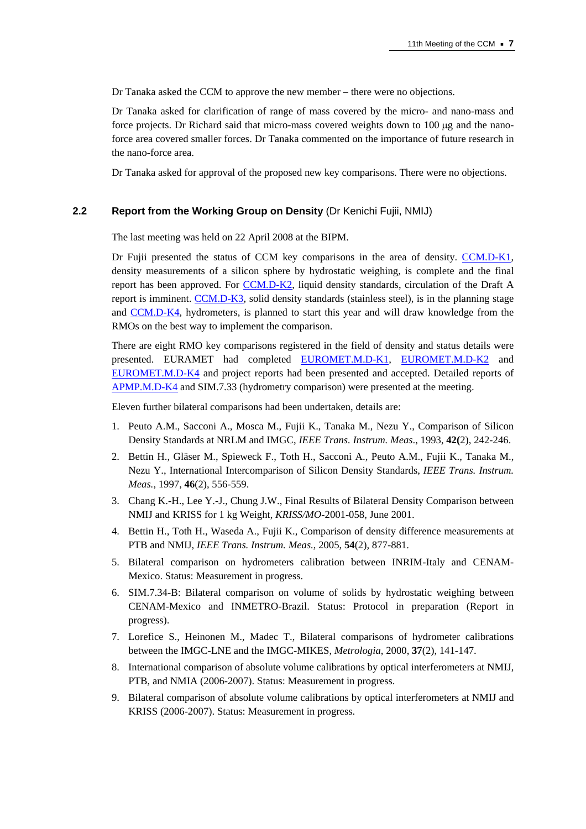Dr Tanaka asked the CCM to approve the new member – there were no objections.

Dr Tanaka asked for clarification of range of mass covered by the micro- and nano-mass and force projects. Dr Richard said that micro-mass covered weights down to 100 μg and the nanoforce area covered smaller forces. Dr Tanaka commented on the importance of future research in the nano-force area.

Dr Tanaka asked for approval of the proposed new key comparisons. There were no objections.

#### **2.2 Report from the Working Group on Density** (Dr Kenichi Fujii, NMIJ)

The last meeting was held on 22 April 2008 at the BIPM.

Dr Fujii presented the status of CCM key comparisons in the area of densit[y. CCM.D-K1,](http://kcdb.bipm.org/appendixB/KCDB_ApB_info.asp?cmp_idy=258&cmp_cod=CCM.D-K1&prov=exalead)  density measurements of a silicon sphere by hydrostatic weighing, is complete and the final report has been approved. F[or CCM.D-K2, liqu](http://kcdb.bipm.org/appendixB/KCDB_ApB_info.asp?cmp_idy=274&cmp_cod=CCM.D-K2&prov=exalead)id density standards, circulation of the Draft A report is immine[nt. CCM.D-K3, s](http://kcdb.bipm.org/appendixB/KCDB_ApB_info.asp?cmp_idy=276&cmp_cod=CCM.D-K3&prov=exalead)olid density standards (stainless steel), is in the planning stage [and CCM.D-K4, h](http://kcdb.bipm.org/appendixB/KCDB_ApB_info.asp?cmp_idy=277&cmp_cod=CCM.D-K4&prov=exalead)ydrometers, is planned to start this year and will draw knowledge from the RMOs on the best way to implement the comparison.

There are eight RMO key comparisons registered in the field of density and status details were presented. EURAMET had complete[d EUROMET.M.D-K1,](http://kcdb.bipm.org/appendixB/KCDB_ApB_info.asp?cmp_idy=462&cmp_cod=EUROMET.M.D-K1&prov=exalead) [EUROMET.M.D-K2](http://kcdb.bipm.org/appendixB/KCDB_ApB_info.asp?cmp_idy=463&cmp_cod=EUROMET.M.D-K2&prov=exalead) and [EUROMET.M.D-K4 an](http://kcdb.bipm.org/appendixB/KCDB_ApB_info.asp?cmp_idy=640&cmp_cod=EUROMET.M.D-K4&prov=exalead)d project reports had been presented and accepted. Detailed reports of [APMP.M.D-K4 an](http://kcdb.bipm.org/appendixB/KCDB_ApB_info.asp?cmp_idy=847&cmp_cod=APMP.M.D-K4&prov=exalead)d SIM.7.33 (hydrometry comparison) were presented at the meeting.

Eleven further bilateral comparisons had been undertaken, details are:

- 1. Peuto A.M., Sacconi A., Mosca M., Fujii K., Tanaka M., Nezu Y., Comparison of Silicon Density Standards at NRLM and IMGC, *IEEE Trans. Instrum. Meas*., 1993, **42(**2), 242-246.
- 2. Bettin H., Gläser M., Spieweck F., Toth H., Sacconi A., Peuto A.M., Fujii K., Tanaka M., Nezu Y., International Intercomparison of Silicon Density Standards, *IEEE Trans. Instrum. Meas.*, 1997, **46**(2), 556-559.
- 3. Chang K.-H., Lee Y.-J., Chung J.W., Final Results of Bilateral Density Comparison between NMIJ and KRISS for 1 kg Weight, *KRISS/MO*-2001-058, June 2001.
- 4. Bettin H., Toth H., Waseda A., Fujii K., Comparison of density difference measurements at PTB and NMIJ, *IEEE Trans. Instrum. Meas.*, 2005, **54**(2), 877-881.
- 5. Bilateral comparison on hydrometers calibration between INRIM-Italy and CENAM-Mexico. Status: Measurement in progress.
- 6. SIM.7.34-B: Bilateral comparison on volume of solids by hydrostatic weighing between CENAM-Mexico and INMETRO-Brazil. Status: Protocol in preparation (Report in progress).
- 7. Lorefice S., Heinonen M., Madec T., Bilateral comparisons of hydrometer calibrations between the IMGC-LNE and the IMGC-MIKES, *Metrologia*, 2000, **37**(2), 141-147.
- 8. International comparison of absolute volume calibrations by optical interferometers at NMIJ, PTB, and NMIA (2006-2007). Status: Measurement in progress.
- 9. Bilateral comparison of absolute volume calibrations by optical interferometers at NMIJ and KRISS (2006-2007). Status: Measurement in progress.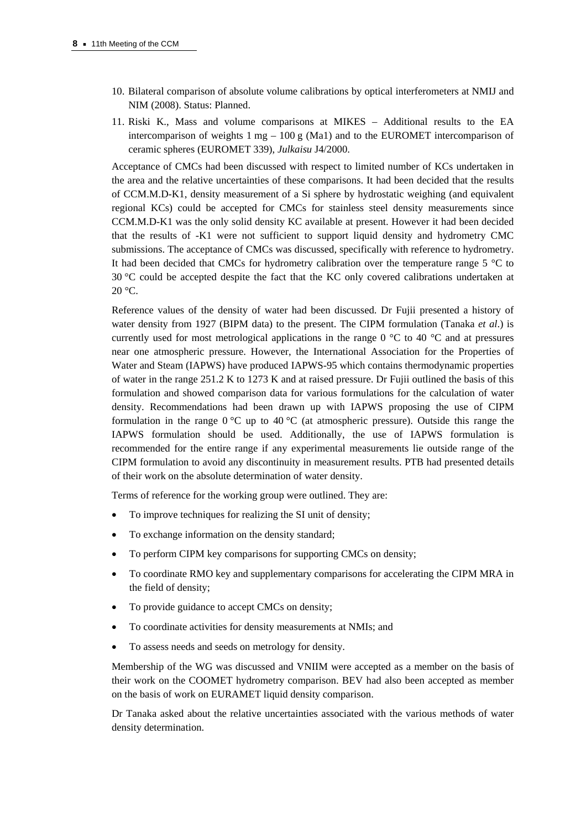- 10. Bilateral comparison of absolute volume calibrations by optical interferometers at NMIJ and NIM (2008). Status: Planned.
- 11. Riski K., Mass and volume comparisons at MIKES Additional results to the EA intercomparison of weights  $1 \text{ mg} - 100 \text{ g}$  (Ma1) and to the EUROMET intercomparison of ceramic spheres (EUROMET 339), *Julkaisu* J4/2000.

Acceptance of CMCs had been discussed with respect to limited number of KCs undertaken in the area and the relative uncertainties of these comparisons. It had been decided that the results of CCM.M.D-K1, density measurement of a Si sphere by hydrostatic weighing (and equivalent regional KCs) could be accepted for CMCs for stainless steel density measurements since CCM.M.D-K1 was the only solid density KC available at present. However it had been decided that the results of -K1 were not sufficient to support liquid density and hydrometry CMC submissions. The acceptance of CMCs was discussed, specifically with reference to hydrometry. It had been decided that CMCs for hydrometry calibration over the temperature range 5 °C to 30 °C could be accepted despite the fact that the KC only covered calibrations undertaken at  $20 °C$ .

Reference values of the density of water had been discussed. Dr Fujii presented a history of water density from 1927 (BIPM data) to the present. The CIPM formulation (Tanaka *et al*.) is currently used for most metrological applications in the range 0 °C to 40 °C and at pressures near one atmospheric pressure. However, the International Association for the Properties of Water and Steam (IAPWS) have produced IAPWS-95 which contains thermodynamic properties of water in the range 251.2 K to 1273 K and at raised pressure. Dr Fujii outlined the basis of this formulation and showed comparison data for various formulations for the calculation of water density. Recommendations had been drawn up with IAPWS proposing the use of CIPM formulation in the range  $0^{\circ}$ C up to  $40^{\circ}$ C (at atmospheric pressure). Outside this range the IAPWS formulation should be used. Additionally, the use of IAPWS formulation is recommended for the entire range if any experimental measurements lie outside range of the CIPM formulation to avoid any discontinuity in measurement results. PTB had presented details of their work on the absolute determination of water density.

Terms of reference for the working group were outlined. They are:

- To improve techniques for realizing the SI unit of density;
- To exchange information on the density standard;
- To perform CIPM key comparisons for supporting CMCs on density;
- To coordinate RMO key and supplementary comparisons for accelerating the CIPM MRA in the field of density;
- To provide guidance to accept CMCs on density;
- To coordinate activities for density measurements at NMIs; and
- To assess needs and seeds on metrology for density.

Membership of the WG was discussed and VNIIM were accepted as a member on the basis of their work on the COOMET hydrometry comparison. BEV had also been accepted as member on the basis of work on EURAMET liquid density comparison.

Dr Tanaka asked about the relative uncertainties associated with the various methods of water density determination.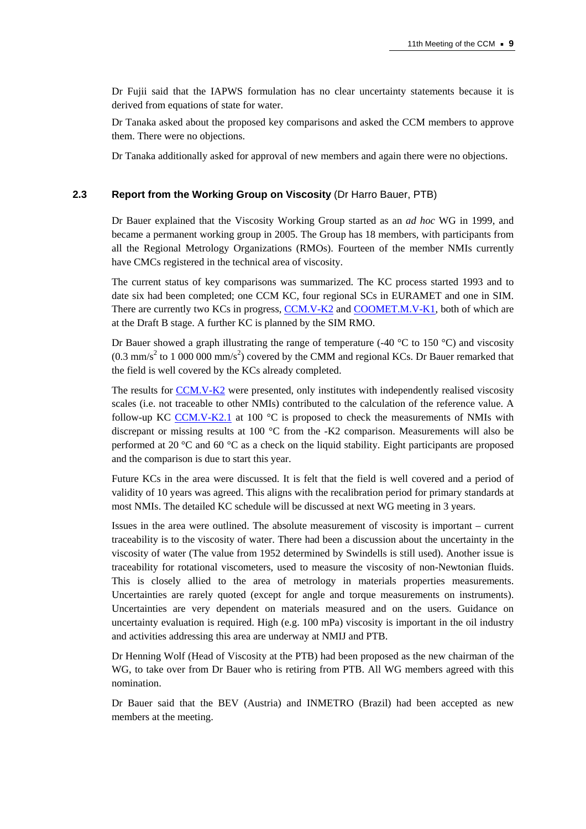Dr Fujii said that the IAPWS formulation has no clear uncertainty statements because it is derived from equations of state for water.

Dr Tanaka asked about the proposed key comparisons and asked the CCM members to approve them. There were no objections.

Dr Tanaka additionally asked for approval of new members and again there were no objections.

# **2.3 Report from the Working Group on Viscosity** (Dr Harro Bauer, PTB)

Dr Bauer explained that the Viscosity Working Group started as an *ad hoc* WG in 1999, and became a permanent working group in 2005. The Group has 18 members, with participants from all the Regional Metrology Organizations (RMOs). Fourteen of the member NMIs currently have CMCs registered in the technical area of viscosity.

The current status of key comparisons was summarized. The KC process started 1993 and to date six had been completed; one CCM KC, four regional SCs in EURAMET and one in SIM. There are currently two KCs in progre[ss, CCM.V-K2 a](https://www.bipm.org/exalead_kcdb/exa_kcdb.jsp?_p=AppB&_q=CCM.V-K2)n[d COOMET.M.V-K1, b](http://kcdb.bipm.org/appendixB/KCDB_ApB_info.asp?cmp_idy=767&cmp_cod=COOMET.M.V-K1&prov=exalead)oth of which are at the Draft B stage. A further KC is planned by the SIM RMO.

Dr Bauer showed a graph illustrating the range of temperature (-40  $^{\circ}$ C to 150  $^{\circ}$ C) and viscosity  $(0.3 \text{ mm/s}^2$  to 1 000 000 mm/s<sup>2</sup>) covered by the CMM and regional KCs. Dr Bauer remarked that the field is well covered by the KCs already completed.

The results f[or CCM.V-K2 w](https://www.bipm.org/exalead_kcdb/exa_kcdb.jsp?_p=AppB&_q=CCM.V-K2)ere presented, only institutes with independently realised viscosity scales (i.e. not traceable to other NMIs) contributed to the calculation of the reference value. A follow-up K[C CCM.V-K2.1 a](http://kcdb.bipm.org/appendixB/KCDB_ApB_info.asp?cmp_idy=920&cmp_cod=CCM.V-K2.1&prov=exalead)t 100 °C is proposed to check the measurements of NMIs with discrepant or missing results at 100 °C from the -K2 comparison. Measurements will also be performed at 20 °C and 60 °C as a check on the liquid stability. Eight participants are proposed and the comparison is due to start this year.

Future KCs in the area were discussed. It is felt that the field is well covered and a period of validity of 10 years was agreed. This aligns with the recalibration period for primary standards at most NMIs. The detailed KC schedule will be discussed at next WG meeting in 3 years.

Issues in the area were outlined. The absolute measurement of viscosity is important – current traceability is to the viscosity of water. There had been a discussion about the uncertainty in the viscosity of water (The value from 1952 determined by Swindells is still used). Another issue is traceability for rotational viscometers, used to measure the viscosity of non-Newtonian fluids. This is closely allied to the area of metrology in materials properties measurements. Uncertainties are rarely quoted (except for angle and torque measurements on instruments). Uncertainties are very dependent on materials measured and on the users. Guidance on uncertainty evaluation is required. High (e.g. 100 mPa) viscosity is important in the oil industry and activities addressing this area are underway at NMIJ and PTB.

Dr Henning Wolf (Head of Viscosity at the PTB) had been proposed as the new chairman of the WG, to take over from Dr Bauer who is retiring from PTB. All WG members agreed with this nomination.

Dr Bauer said that the BEV (Austria) and INMETRO (Brazil) had been accepted as new members at the meeting.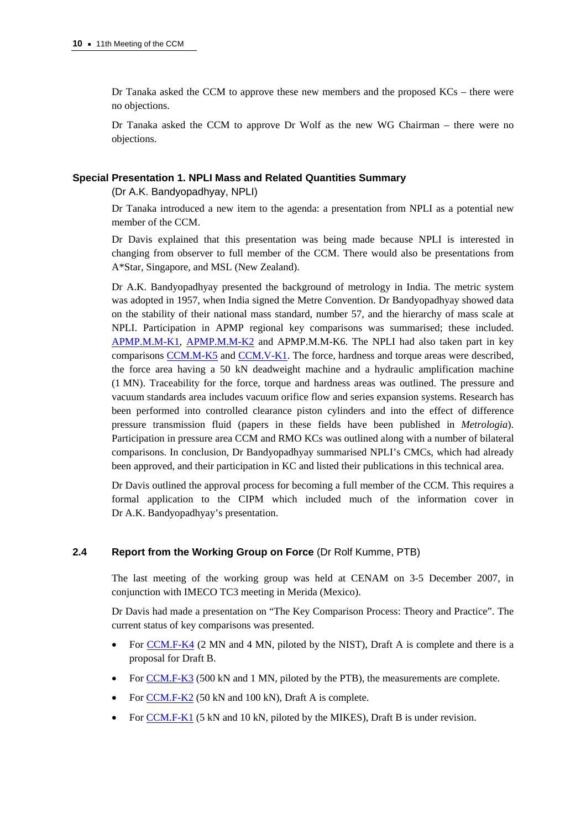Dr Tanaka asked the CCM to approve these new members and the proposed KCs – there were no objections.

Dr Tanaka asked the CCM to approve Dr Wolf as the new WG Chairman – there were no objections.

## **Special Presentation 1. NPLI Mass and Related Quantities Summary**

(Dr A.K. Bandyopadhyay, NPLI)

Dr Tanaka introduced a new item to the agenda: a presentation from NPLI as a potential new member of the CCM.

Dr Davis explained that this presentation was being made because NPLI is interested in changing from observer to full member of the CCM. There would also be presentations from A\*Star, Singapore, and MSL (New Zealand).

Dr A.K. Bandyopadhyay presented the background of metrology in India. The metric system was adopted in 1957, when India signed the Metre Convention. Dr Bandyopadhyay showed data on the stability of their national mass standard, number 57, and the hierarchy of mass scale at NPLI. Participation in APMP regional key comparisons was summarised; these included. [APMP.M.M-K1,](http://kcdb.bipm.org/appendixB/KCDB_ApB_info.asp?cmp_idy=432&cmp_cod=APMP.M.M-K1&prov=exalead) [APMP.M.M-K2 a](http://kcdb.bipm.org/appendixB/KCDB_ApB_info.asp?cmp_idy=648&cmp_cod=APMP.M.M-K2&prov=exalead)nd APMP.M.M-K6. The NPLI had also taken part in key comparison[s CCM.M-K5 a](http://kcdb.bipm.org/appendixB/KCDB_ApB_info.asp?cmp_idy=404&cmp_cod=CCM.M-K5&prov=exalead)n[d CCM.V-K1. T](https://www.bipm.org/exalead_kcdb/exa_kcdb.jsp?_p=AppB&_q=CCM.V-K1)he force, hardness and torque areas were described, the force area having a 50 kN deadweight machine and a hydraulic amplification machine (1 MN). Traceability for the force, torque and hardness areas was outlined. The pressure and vacuum standards area includes vacuum orifice flow and series expansion systems. Research has been performed into controlled clearance piston cylinders and into the effect of difference pressure transmission fluid (papers in these fields have been published in *Metrologia*). Participation in pressure area CCM and RMO KCs was outlined along with a number of bilateral comparisons. In conclusion, Dr Bandyopadhyay summarised NPLI's CMCs, which had already been approved, and their participation in KC and listed their publications in this technical area.

Dr Davis outlined the approval process for becoming a full member of the CCM. This requires a formal application to the CIPM which included much of the information cover in Dr A.K. Bandyopadhyay's presentation.

## **2.4 Report from the Working Group on Force** (Dr Rolf Kumme, PTB)

The last meeting of the working group was held at CENAM on 3-5 December 2007, in conjunction with IMECO TC3 meeting in Merida (Mexico).

Dr Davis had made a presentation on "The Key Comparison Process: Theory and Practice". The current status of key comparisons was presented.

- [For CCM.F-K4 \(2](https://www.bipm.org/exalead_kcdb/exa_kcdb.jsp?_p=AppB&_q=CCM.F-K4) MN and 4 MN, piloted by the NIST), Draft A is complete and there is a proposal for Draft B.
- [For CCM.F-K3 \(50](https://www.bipm.org/exalead_kcdb/exa_kcdb.jsp?_p=AppB&_q=CCM.F-K3)0 kN and 1 MN, piloted by the PTB), the measurements are complete.
- F[or CCM.F-K2 \(5](https://www.bipm.org/exalead_kcdb/exa_kcdb.jsp?_p=AppB&_q=CCM.F-K2)0 kN and 100 kN), Draft A is complete.
- For [CCM.F-K1 \(5](https://www.bipm.org/exalead_kcdb/exa_kcdb.jsp?_p=AppB&_q=CCM.F-K1) kN and 10 kN, piloted by the MIKES), Draft B is under revision.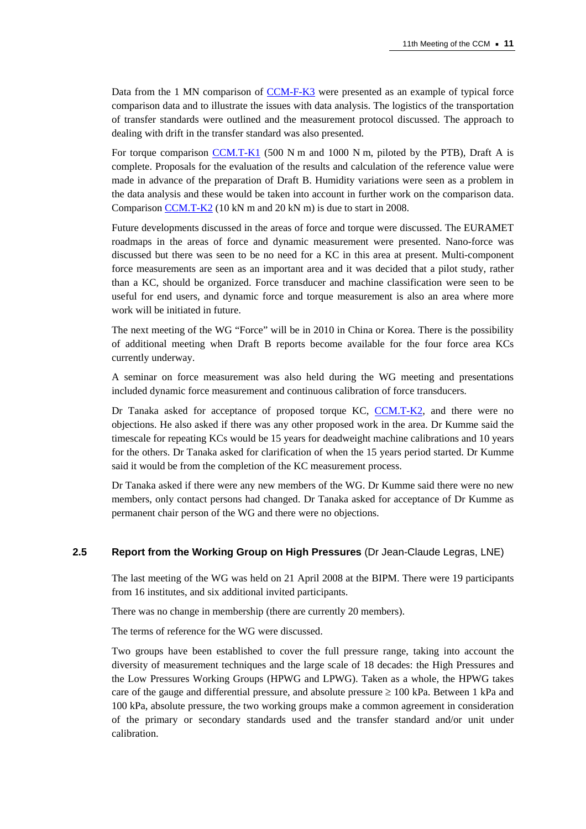Data from the 1 MN comparison [of CCM-F-K3 w](https://www.bipm.org/exalead_kcdb/exa_kcdb.jsp?_p=AppB&_q=CCM.F-K3)ere presented as an example of typical force comparison data and to illustrate the issues with data analysis. The logistics of the transportation of transfer standards were outlined and the measurement protocol discussed. The approach to dealing with drift in the transfer standard was also presented.

For torque comparis[on CCM.T-K1 \(500](http://kcdb.bipm.org/appendixB/KCDB_ApB_info.asp?cmp_idy=704&cmp_cod=CCM.T-K1&prov=exalead) N m and 1000 N m, piloted by the PTB), Draft A is complete. Proposals for the evaluation of the results and calculation of the reference value were made in advance of the preparation of Draft B. Humidity variations were seen as a problem in the data analysis and these would be taken into account in further work on the comparison data. Compariso[n CCM.T-K2 \(10 kN](http://kcdb.bipm.org/appendixB/KCDB_ApB_info.asp?cmp_idy=705&cmp_cod=CCM.T-K2&prov=exalead) m and 20 kN m) is due to start in 2008.

Future developments discussed in the areas of force and torque were discussed. The EURAMET roadmaps in the areas of force and dynamic measurement were presented. Nano-force was discussed but there was seen to be no need for a KC in this area at present. Multi-component force measurements are seen as an important area and it was decided that a pilot study, rather than a KC, should be organized. Force transducer and machine classification were seen to be useful for end users, and dynamic force and torque measurement is also an area where more work will be initiated in future.

The next meeting of the WG "Force" will be in 2010 in China or Korea. There is the possibility of additional meeting when Draft B reports become available for the four force area KCs currently underway.

A seminar on force measurement was also held during the WG meeting and presentations included dynamic force measurement and continuous calibration of force transducers.

Dr Tanaka asked for acceptance of proposed torque K[C, CCM.T-K2, a](http://kcdb.bipm.org/appendixB/KCDB_ApB_info.asp?cmp_idy=705&cmp_cod=CCM.T-K2&prov=exalead)nd there were no objections. He also asked if there was any other proposed work in the area. Dr Kumme said the timescale for repeating KCs would be 15 years for deadweight machine calibrations and 10 years for the others. Dr Tanaka asked for clarification of when the 15 years period started. Dr Kumme said it would be from the completion of the KC measurement process.

Dr Tanaka asked if there were any new members of the WG. Dr Kumme said there were no new members, only contact persons had changed. Dr Tanaka asked for acceptance of Dr Kumme as permanent chair person of the WG and there were no objections.

#### **2.5 Report from the Working Group on High Pressures** (Dr Jean-Claude Legras, LNE)

The last meeting of the WG was held on 21 April 2008 at the BIPM. There were 19 participants from 16 institutes, and six additional invited participants.

There was no change in membership (there are currently 20 members).

The terms of reference for the WG were discussed.

Two groups have been established to cover the full pressure range, taking into account the diversity of measurement techniques and the large scale of 18 decades: the High Pressures and the Low Pressures Working Groups (HPWG and LPWG). Taken as a whole, the HPWG takes care of the gauge and differential pressure, and absolute pressure ≥ 100 kPa. Between 1 kPa and 100 kPa, absolute pressure, the two working groups make a common agreement in consideration of the primary or secondary standards used and the transfer standard and/or unit under calibration.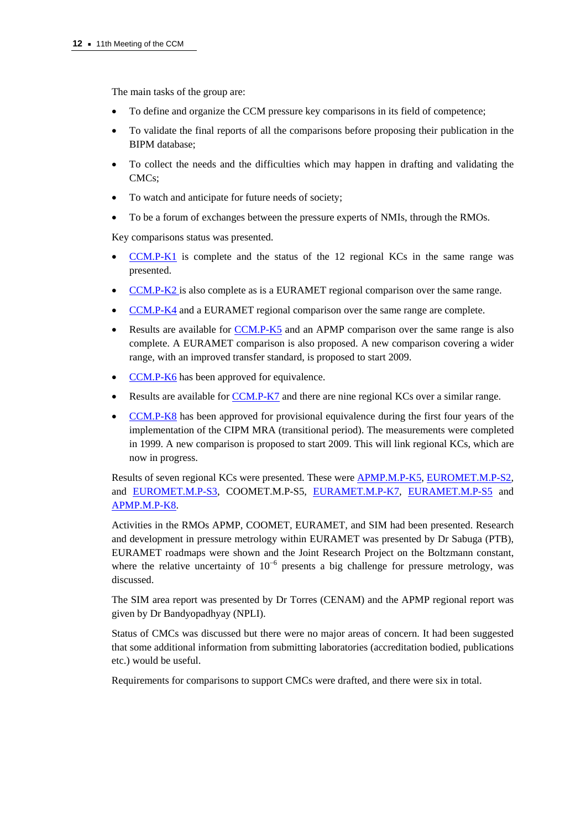The main tasks of the group are:

- To define and organize the CCM pressure key comparisons in its field of competence;
- To validate the final reports of all the comparisons before proposing their publication in the BIPM database;
- To collect the needs and the difficulties which may happen in drafting and validating the CMCs;
- To watch and anticipate for future needs of society;
- To be a forum of exchanges between the pressure experts of NMIs, through the RMOs.

Key comparisons status was presented.

- $CCM.P-K1$  is complete and the status of the 12 regional KCs in the same range was presented.
- [CCM.P-K2 is a](http://kcdb.bipm.org/appendixB/KCDB_ApB_info.asp?cmp_idy=405&cmp_cod=CCM.P-K2&prov=exalead)lso complete as is a EURAMET regional comparison over the same range.
- [CCM.P-K4 and](http://kcdb.bipm.org/appendixB/KCDB_ApB_info.asp?cmp_idy=407&cmp_cod=CCM.P-K4&prov=exalead) a EURAMET regional comparison over the same range are complete.
- Results are available f[or CCM.P-K5 an](http://kcdb.bipm.org/appendixB/KCDB_ApB_info.asp?cmp_idy=408&cmp_cod=CCM.P-K5&prov=exalead)d an APMP comparison over the same range is also complete. A EURAMET comparison is also proposed. A new comparison covering a wider range, with an improved transfer standard, is proposed to start 2009.
- [CCM.P-K6 has](http://kcdb.bipm.org/appendixB/KCDB_ApB_info.asp?cmp_idy=409&cmp_cod=CCM.P-K6&prov=exalead) been approved for equivalence.
- Results are available [for CCM.P-K7 and](http://kcdb.bipm.org/appendixB/KCDB_ApB_info.asp?cmp_idy=410&cmp_cod=CCM.P-K7&prov=exalead) there are nine regional KCs over a similar range.
- [CCM.P-K8 has](http://kcdb.bipm.org/appendixB/KCDB_ApB_info.asp?cmp_idy=411&cmp_cod=CCM.P-K8&prov=exalead) been approved for provisional equivalence during the first four years of the implementation of the CIPM MRA (transitional period). The measurements were completed in 1999. A new comparison is proposed to start 2009. This will link regional KCs, which are now in progress.

Results of seven regional KCs were presented. These we[re APMP.M.P-K5,](http://kcdb.bipm.org/appendixB/KCDB_ApB_info.asp?cmp_idy=708&cmp_cod=APMP.M.P-K5&prov=exalead) [EUROMET.M.P-S2,](http://kcdb.bipm.org/appendixB/KCDB_ApB_info.asp?cmp_idy=787&cmp_cod=EUROMET.M.P-S2&prov=exalead)  and [EUROMET.M.P-S3, C](http://kcdb.bipm.org/appendixB/KCDB_ApB_info.asp?cmp_idy=800&cmp_cod=EUROMET.M.P-S3&prov=exalead)OOMET.M.P-S5[, EURAMET.M.P-K7,](http://kcdb.bipm.org/appendixB/KCDB_ApB_info.asp?cmp_idy=881&cmp_cod=EURAMET.M.P-K7&prov=exalead) [EURAMET.M.P-S5](http://kcdb.bipm.org/appendixB/KCDB_ApB_info.asp?cmp_idy=882&cmp_cod=EURAMET.M.P-S5&prov=exalead) and [APMP.M.P-K8.](http://kcdb.bipm.org/appendixB/KCDB_ApB_info.asp?cmp_idy=811&cmp_cod=APMP.M.P-K8&prov=exalead) 

Activities in the RMOs APMP, COOMET, EURAMET, and SIM had been presented. Research and development in pressure metrology within EURAMET was presented by Dr Sabuga (PTB), EURAMET roadmaps were shown and the Joint Research Project on the Boltzmann constant, where the relative uncertainty of  $10^{-6}$  presents a big challenge for pressure metrology, was discussed.

The SIM area report was presented by Dr Torres (CENAM) and the APMP regional report was given by Dr Bandyopadhyay (NPLI).

Status of CMCs was discussed but there were no major areas of concern. It had been suggested that some additional information from submitting laboratories (accreditation bodied, publications etc.) would be useful.

Requirements for comparisons to support CMCs were drafted, and there were six in total.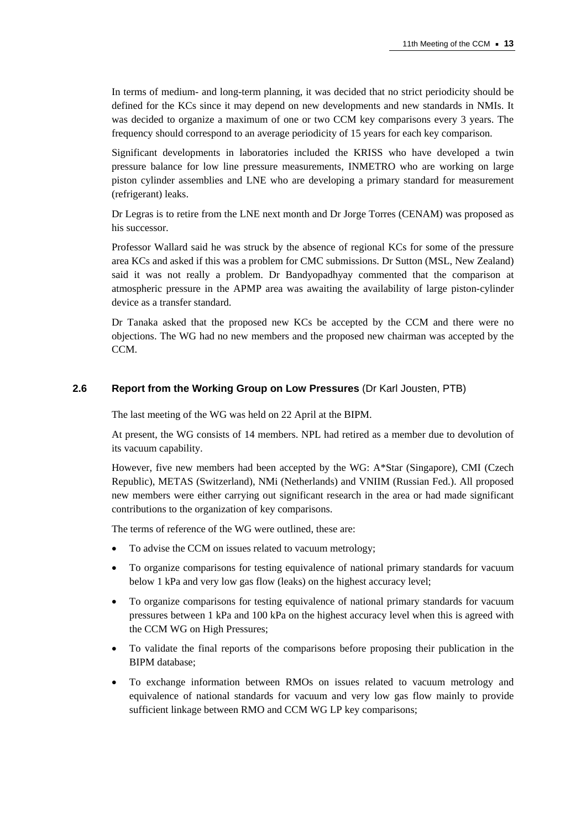In terms of medium- and long-term planning, it was decided that no strict periodicity should be defined for the KCs since it may depend on new developments and new standards in NMIs. It was decided to organize a maximum of one or two CCM key comparisons every 3 years. The frequency should correspond to an average periodicity of 15 years for each key comparison.

Significant developments in laboratories included the KRISS who have developed a twin pressure balance for low line pressure measurements, INMETRO who are working on large piston cylinder assemblies and LNE who are developing a primary standard for measurement (refrigerant) leaks.

Dr Legras is to retire from the LNE next month and Dr Jorge Torres (CENAM) was proposed as his successor.

Professor Wallard said he was struck by the absence of regional KCs for some of the pressure area KCs and asked if this was a problem for CMC submissions. Dr Sutton (MSL, New Zealand) said it was not really a problem. Dr Bandyopadhyay commented that the comparison at atmospheric pressure in the APMP area was awaiting the availability of large piston-cylinder device as a transfer standard.

Dr Tanaka asked that the proposed new KCs be accepted by the CCM and there were no objections. The WG had no new members and the proposed new chairman was accepted by the CCM.

#### **2.6 Report from the Working Group on Low Pressures** (Dr Karl Jousten, PTB)

The last meeting of the WG was held on 22 April at the BIPM.

At present, the WG consists of 14 members. NPL had retired as a member due to devolution of its vacuum capability.

However, five new members had been accepted by the WG: A\*Star (Singapore), CMI (Czech Republic), METAS (Switzerland), NMi (Netherlands) and VNIIM (Russian Fed.). All proposed new members were either carrying out significant research in the area or had made significant contributions to the organization of key comparisons.

The terms of reference of the WG were outlined, these are:

- To advise the CCM on issues related to vacuum metrology;
- To organize comparisons for testing equivalence of national primary standards for vacuum below 1 kPa and very low gas flow (leaks) on the highest accuracy level;
- To organize comparisons for testing equivalence of national primary standards for vacuum pressures between 1 kPa and 100 kPa on the highest accuracy level when this is agreed with the CCM WG on High Pressures;
- To validate the final reports of the comparisons before proposing their publication in the BIPM database;
- To exchange information between RMOs on issues related to vacuum metrology and equivalence of national standards for vacuum and very low gas flow mainly to provide sufficient linkage between RMO and CCM WG LP key comparisons;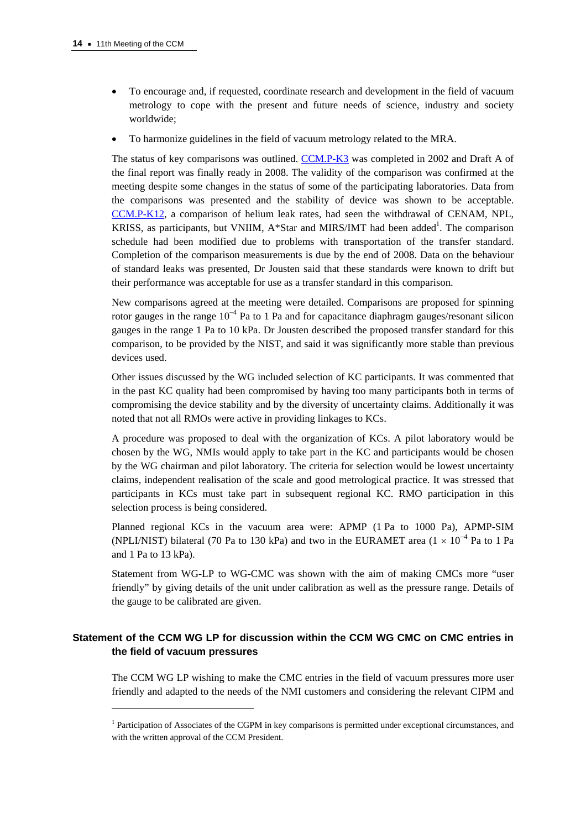$\overline{a}$ 

- To encourage and, if requested, coordinate research and development in the field of vacuum metrology to cope with the present and future needs of science, industry and society worldwide;
- To harmonize guidelines in the field of vacuum metrology related to the MRA.

The status of key comparisons was outli[ned. CCM.P-K3 was](http://kcdb.bipm.org/appendixB/KCDB_ApB_info.asp?cmp_idy=406&cmp_cod=CCM.P-K3&prov=exalead) completed in 2002 and Draft A of the final report was finally ready in 2008. The validity of the comparison was confirmed at the meeting despite some changes in the status of some of the participating laboratories. Data from the comparisons was presented and the stability of device was shown to be acceptable. [CCM.P-K12, a c](http://kcdb.bipm.org/appendixB/KCDB_ApB_info.asp?cmp_idy=796&cmp_cod=CCM.P-K12&prov=exalead)omparison of helium leak rates, had seen the withdrawal of CENAM, NPL, KRISS, as participants, but VNIIM,  $A*Star$  and MIRS/IMT had been added<sup>1</sup>. The comparison schedule had been modified due to problems with transportation of the transfer standard. Completion of the comparison measurements is due by the end of 2008. Data on the behaviour of standard leaks was presented, Dr Jousten said that these standards were known to drift but their performance was acceptable for use as a transfer standard in this comparison.

New comparisons agreed at the meeting were detailed. Comparisons are proposed for spinning rotor gauges in the range  $10^{-4}$  Pa to 1 Pa and for capacitance diaphragm gauges/resonant silicon gauges in the range 1 Pa to 10 kPa. Dr Jousten described the proposed transfer standard for this comparison, to be provided by the NIST, and said it was significantly more stable than previous devices used.

Other issues discussed by the WG included selection of KC participants. It was commented that in the past KC quality had been compromised by having too many participants both in terms of compromising the device stability and by the diversity of uncertainty claims. Additionally it was noted that not all RMOs were active in providing linkages to KCs.

A procedure was proposed to deal with the organization of KCs. A pilot laboratory would be chosen by the WG, NMIs would apply to take part in the KC and participants would be chosen by the WG chairman and pilot laboratory. The criteria for selection would be lowest uncertainty claims, independent realisation of the scale and good metrological practice. It was stressed that participants in KCs must take part in subsequent regional KC. RMO participation in this selection process is being considered.

Planned regional KCs in the vacuum area were: APMP (1 Pa to 1000 Pa), APMP-SIM (NPLI/NIST) bilateral (70 Pa to 130 kPa) and two in the EURAMET area ( $1 \times 10^{-4}$  Pa to 1 Pa and 1 Pa to 13 kPa).

Statement from WG-LP to WG-CMC was shown with the aim of making CMCs more "user friendly" by giving details of the unit under calibration as well as the pressure range. Details of the gauge to be calibrated are given.

# **Statement of the CCM WG LP for discussion within the CCM WG CMC on CMC entries in the field of vacuum pressures**

The CCM WG LP wishing to make the CMC entries in the field of vacuum pressures more user friendly and adapted to the needs of the NMI customers and considering the relevant CIPM and

<sup>&</sup>lt;sup>1</sup> Participation of Associates of the CGPM in key comparisons is permitted under exceptional circumstances, and with the written approval of the CCM President.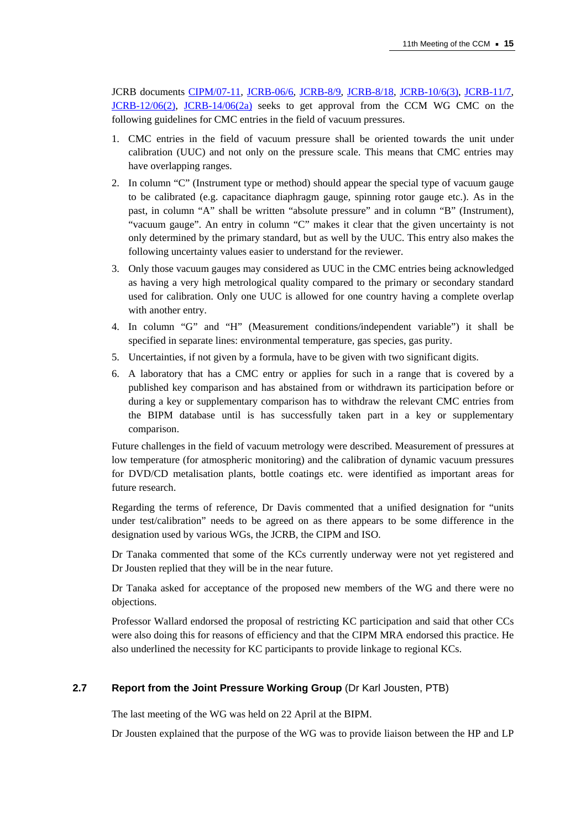JCRB documen[ts CIPM/07-11,](https://www.bipm.org/cc/CIPM/Allowed/96/CIPM11_OPEN_ACCESS_CMC_BMC_ACCEPTED.pdf) [JCRB-06/6,](https://www.bipm.org/en/committees/jc/jcrb/cmc_excel_files.html) [JCRB-8/9,](https://www.bipm.org/utils/common/documents/jcrb/uncertainty_contribution_DUT.pdf) [JCRB-8/18,](https://www.bipm.org/utils/common/documents/jcrb/definitions.pdf) [JCRB-10/6\(3\),](https://www.bipm.org/utils/common/documents/jcrb/working_groups_CMCs.pdf) [JCRB-11/7,](https://www.bipm.org/utils/common/documents/jcrb/impact_comparisons.pdf)  [JCRB-12/06\(2\),](https://www.bipm.org/utils/common/documents/jcrb/cmc_specification.pdf) [JCRB-14/06\(2a\) s](https://www.bipm.org/utils/common/documents/jcrb/AppC_criteria.pdf)eeks to get approval from the CCM WG CMC on the following guidelines for CMC entries in the field of vacuum pressures.

- 1. CMC entries in the field of vacuum pressure shall be oriented towards the unit under calibration (UUC) and not only on the pressure scale. This means that CMC entries may have overlapping ranges.
- 2. In column "C" (Instrument type or method) should appear the special type of vacuum gauge to be calibrated (e.g. capacitance diaphragm gauge, spinning rotor gauge etc.). As in the past, in column "A" shall be written "absolute pressure" and in column "B" (Instrument), "vacuum gauge". An entry in column "C" makes it clear that the given uncertainty is not only determined by the primary standard, but as well by the UUC. This entry also makes the following uncertainty values easier to understand for the reviewer.
- 3. Only those vacuum gauges may considered as UUC in the CMC entries being acknowledged as having a very high metrological quality compared to the primary or secondary standard used for calibration. Only one UUC is allowed for one country having a complete overlap with another entry.
- 4. In column "G" and "H" (Measurement conditions/independent variable") it shall be specified in separate lines: environmental temperature, gas species, gas purity.
- 5. Uncertainties, if not given by a formula, have to be given with two significant digits.
- 6. A laboratory that has a CMC entry or applies for such in a range that is covered by a published key comparison and has abstained from or withdrawn its participation before or during a key or supplementary comparison has to withdraw the relevant CMC entries from the BIPM database until is has successfully taken part in a key or supplementary comparison.

Future challenges in the field of vacuum metrology were described. Measurement of pressures at low temperature (for atmospheric monitoring) and the calibration of dynamic vacuum pressures for DVD/CD metalisation plants, bottle coatings etc. were identified as important areas for future research.

Regarding the terms of reference, Dr Davis commented that a unified designation for "units under test/calibration" needs to be agreed on as there appears to be some difference in the designation used by various WGs, the JCRB, the CIPM and ISO.

Dr Tanaka commented that some of the KCs currently underway were not yet registered and Dr Jousten replied that they will be in the near future.

Dr Tanaka asked for acceptance of the proposed new members of the WG and there were no objections.

Professor Wallard endorsed the proposal of restricting KC participation and said that other CCs were also doing this for reasons of efficiency and that the CIPM MRA endorsed this practice. He also underlined the necessity for KC participants to provide linkage to regional KCs.

## **2.7 Report from the Joint Pressure Working Group** (Dr Karl Jousten, PTB)

The last meeting of the WG was held on 22 April at the BIPM.

Dr Jousten explained that the purpose of the WG was to provide liaison between the HP and LP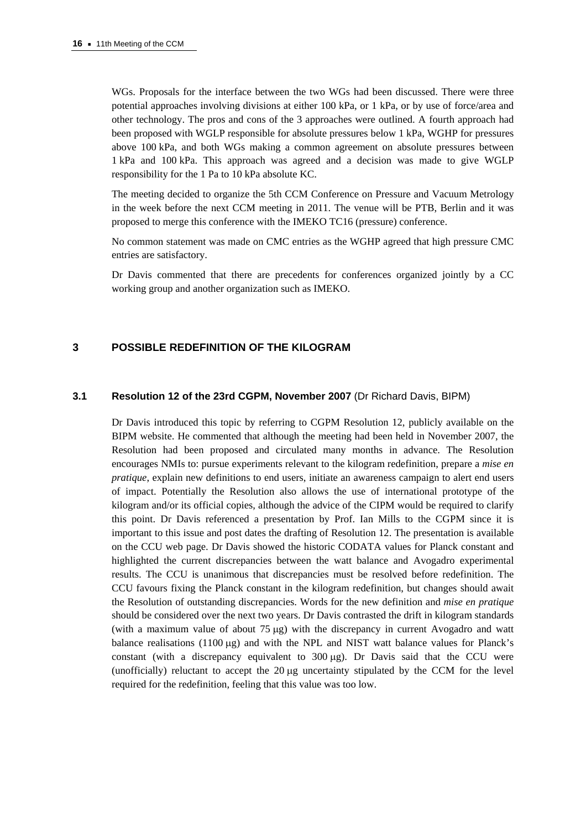WGs. Proposals for the interface between the two WGs had been discussed. There were three potential approaches involving divisions at either 100 kPa, or 1 kPa, or by use of force/area and other technology. The pros and cons of the 3 approaches were outlined. A fourth approach had been proposed with WGLP responsible for absolute pressures below 1 kPa, WGHP for pressures above 100 kPa, and both WGs making a common agreement on absolute pressures between 1 kPa and 100 kPa. This approach was agreed and a decision was made to give WGLP responsibility for the 1 Pa to 10 kPa absolute KC.

The meeting decided to organize the 5th CCM Conference on Pressure and Vacuum Metrology in the week before the next CCM meeting in 2011. The venue will be PTB, Berlin and it was proposed to merge this conference with the IMEKO TC16 (pressure) conference.

No common statement was made on CMC entries as the WGHP agreed that high pressure CMC entries are satisfactory.

Dr Davis commented that there are precedents for conferences organized jointly by a CC working group and another organization such as IMEKO.

## **3 POSSIBLE REDEFINITION OF THE KILOGRAM**

#### **3.1 Resolution 12 of the 23rd CGPM, November 2007** (Dr Richard Davis, BIPM)

Dr Davis introduced this topic by referring to CGPM Resolution 12, publicly available on the BIPM website. He commented that although the meeting had been held in November 2007, the Resolution had been proposed and circulated many months in advance. The Resolution encourages NMIs to: pursue experiments relevant to the kilogram redefinition, prepare a *mise en pratique*, explain new definitions to end users, initiate an awareness campaign to alert end users of impact. Potentially the Resolution also allows the use of international prototype of the kilogram and/or its official copies, although the advice of the CIPM would be required to clarify this point. Dr Davis referenced a presentation by Prof. Ian Mills to the CGPM since it is important to this issue and post dates the drafting of Resolution 12. The presentation is available on the CCU web page. Dr Davis showed the historic CODATA values for Planck constant and highlighted the current discrepancies between the watt balance and Avogadro experimental results. The CCU is unanimous that discrepancies must be resolved before redefinition. The CCU favours fixing the Planck constant in the kilogram redefinition, but changes should await the Resolution of outstanding discrepancies. Words for the new definition and *mise en pratique* should be considered over the next two years. Dr Davis contrasted the drift in kilogram standards (with a maximum value of about  $75 \mu g$ ) with the discrepancy in current Avogadro and watt balance realisations (1100 μg) and with the NPL and NIST watt balance values for Planck's constant (with a discrepancy equivalent to  $300 \mu g$ ). Dr Davis said that the CCU were (unofficially) reluctant to accept the 20 μg uncertainty stipulated by the CCM for the level required for the redefinition, feeling that this value was too low.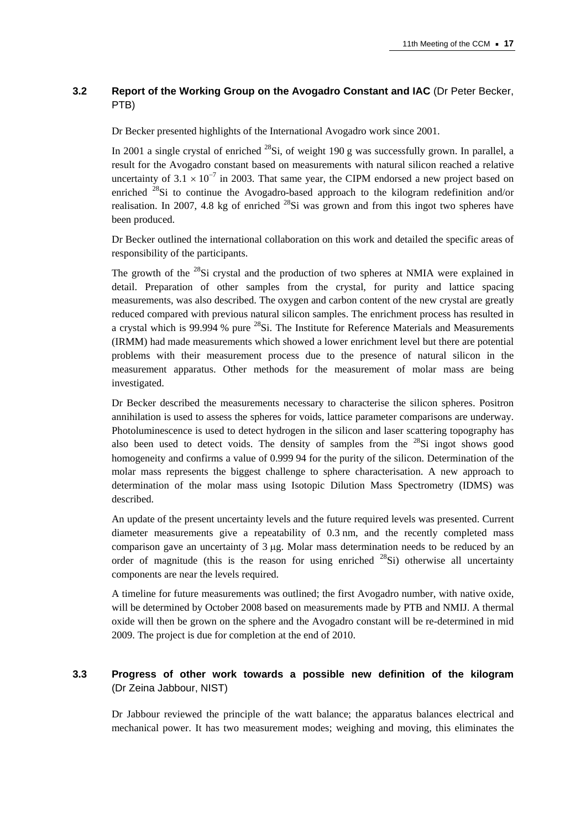# **3.2 Report of the Working Group on the Avogadro Constant and IAC** (Dr Peter Becker, PTB)

Dr Becker presented highlights of the International Avogadro work since 2001.

In 2001 a single crystal of enriched  $^{28}$ Si, of weight 190 g was successfully grown. In parallel, a result for the Avogadro constant based on measurements with natural silicon reached a relative uncertainty of 3.1  $\times$  10<sup>-7</sup> in 2003. That same year, the CIPM endorsed a new project based on enriched  $^{28}$ Si to continue the Avogadro-based approach to the kilogram redefinition and/or realisation. In 2007, 4.8 kg of enriched  $^{28}Si$  was grown and from this ingot two spheres have been produced.

Dr Becker outlined the international collaboration on this work and detailed the specific areas of responsibility of the participants.

The growth of the  $^{28}$ Si crystal and the production of two spheres at NMIA were explained in detail. Preparation of other samples from the crystal, for purity and lattice spacing measurements, was also described. The oxygen and carbon content of the new crystal are greatly reduced compared with previous natural silicon samples. The enrichment process has resulted in a crystal which is 99.994 % pure  $^{28}$ Si. The Institute for Reference Materials and Measurements (IRMM) had made measurements which showed a lower enrichment level but there are potential problems with their measurement process due to the presence of natural silicon in the measurement apparatus. Other methods for the measurement of molar mass are being investigated.

Dr Becker described the measurements necessary to characterise the silicon spheres. Positron annihilation is used to assess the spheres for voids, lattice parameter comparisons are underway. Photoluminescence is used to detect hydrogen in the silicon and laser scattering topography has also been used to detect voids. The density of samples from the  $^{28}Si$  ingot shows good homogeneity and confirms a value of 0.999 94 for the purity of the silicon. Determination of the molar mass represents the biggest challenge to sphere characterisation. A new approach to determination of the molar mass using Isotopic Dilution Mass Spectrometry (IDMS) was described.

An update of the present uncertainty levels and the future required levels was presented. Current diameter measurements give a repeatability of 0.3 nm, and the recently completed mass comparison gave an uncertainty of 3 μg. Molar mass determination needs to be reduced by an order of magnitude (this is the reason for using enriched  $^{28}Si$ ) otherwise all uncertainty components are near the levels required.

A timeline for future measurements was outlined; the first Avogadro number, with native oxide, will be determined by October 2008 based on measurements made by PTB and NMIJ. A thermal oxide will then be grown on the sphere and the Avogadro constant will be re-determined in mid 2009. The project is due for completion at the end of 2010.

# **3.3 Progress of other work towards a possible new definition of the kilogram**  (Dr Zeina Jabbour, NIST)

Dr Jabbour reviewed the principle of the watt balance; the apparatus balances electrical and mechanical power. It has two measurement modes; weighing and moving, this eliminates the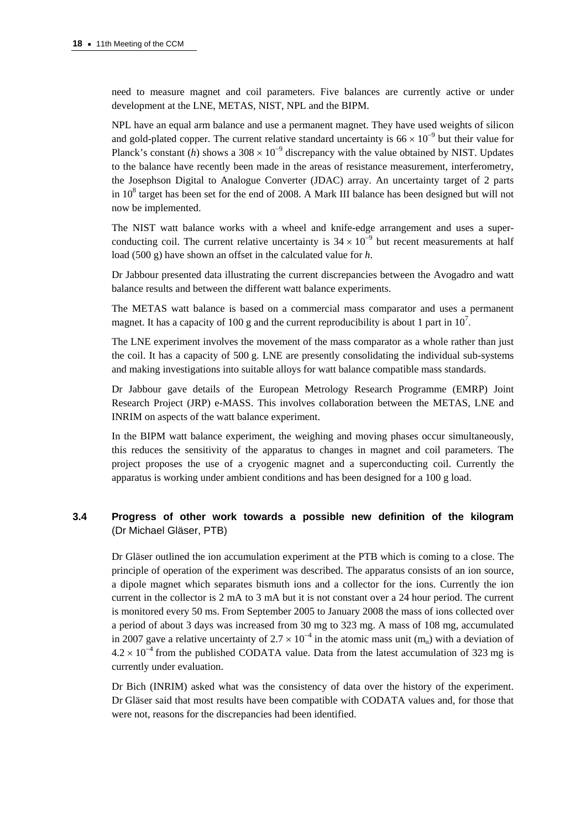need to measure magnet and coil parameters. Five balances are currently active or under development at the LNE, METAS, NIST, NPL and the BIPM.

NPL have an equal arm balance and use a permanent magnet. They have used weights of silicon and gold-plated copper. The current relative standard uncertainty is  $66 \times 10^{-9}$  but their value for Planck's constant (*h*) shows a 308  $\times$  10<sup>-9</sup> discrepancy with the value obtained by NIST. Updates to the balance have recently been made in the areas of resistance measurement, interferometry, the Josephson Digital to Analogue Converter (JDAC) array. An uncertainty target of 2 parts in  $10^8$  target has been set for the end of 2008. A Mark III balance has been designed but will not now be implemented.

The NIST watt balance works with a wheel and knife-edge arrangement and uses a superconducting coil. The current relative uncertainty is  $34 \times 10^{-9}$  but recent measurements at half load (500 g) have shown an offset in the calculated value for *h*.

Dr Jabbour presented data illustrating the current discrepancies between the Avogadro and watt balance results and between the different watt balance experiments.

The METAS watt balance is based on a commercial mass comparator and uses a permanent magnet. It has a capacity of 100 g and the current reproducibility is about 1 part in  $10^7$ .

The LNE experiment involves the movement of the mass comparator as a whole rather than just the coil. It has a capacity of 500 g. LNE are presently consolidating the individual sub-systems and making investigations into suitable alloys for watt balance compatible mass standards.

Dr Jabbour gave details of the European Metrology Research Programme (EMRP) Joint Research Project (JRP) e-MASS. This involves collaboration between the METAS, LNE and INRIM on aspects of the watt balance experiment.

In the BIPM watt balance experiment, the weighing and moving phases occur simultaneously, this reduces the sensitivity of the apparatus to changes in magnet and coil parameters. The project proposes the use of a cryogenic magnet and a superconducting coil. Currently the apparatus is working under ambient conditions and has been designed for a 100 g load.

## **3.4 Progress of other work towards a possible new definition of the kilogram**  (Dr Michael Gläser, PTB)

Dr Gläser outlined the ion accumulation experiment at the PTB which is coming to a close. The principle of operation of the experiment was described. The apparatus consists of an ion source, a dipole magnet which separates bismuth ions and a collector for the ions. Currently the ion current in the collector is 2 mA to 3 mA but it is not constant over a 24 hour period. The current is monitored every 50 ms. From September 2005 to January 2008 the mass of ions collected over a period of about 3 days was increased from 30 mg to 323 mg. A mass of 108 mg, accumulated in 2007 gave a relative uncertainty of  $2.7 \times 10^{-4}$  in the atomic mass unit (m<sub>u</sub>) with a deviation of  $4.2 \times 10^{-4}$  from the published CODATA value. Data from the latest accumulation of 323 mg is currently under evaluation.

Dr Bich (INRIM) asked what was the consistency of data over the history of the experiment. Dr Gläser said that most results have been compatible with CODATA values and, for those that were not, reasons for the discrepancies had been identified.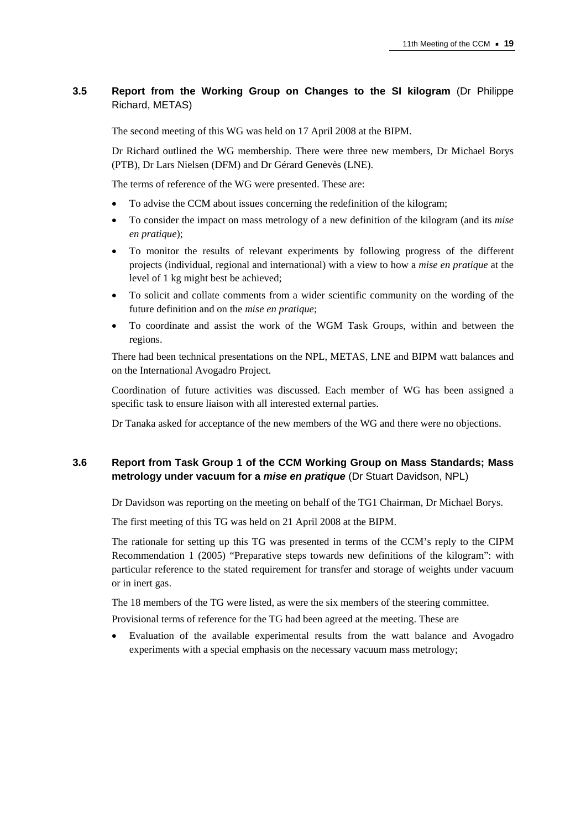# **3.5 Report from the Working Group on Changes to the SI kilogram** (Dr Philippe Richard, METAS)

The second meeting of this WG was held on 17 April 2008 at the BIPM.

Dr Richard outlined the WG membership. There were three new members, Dr Michael Borys (PTB), Dr Lars Nielsen (DFM) and Dr Gérard Genevès (LNE).

The terms of reference of the WG were presented. These are:

- To advise the CCM about issues concerning the redefinition of the kilogram;
- To consider the impact on mass metrology of a new definition of the kilogram (and its *mise en pratique*);
- To monitor the results of relevant experiments by following progress of the different projects (individual, regional and international) with a view to how a *mise en pratique* at the level of 1 kg might best be achieved;
- To solicit and collate comments from a wider scientific community on the wording of the future definition and on the *mise en pratique*;
- To coordinate and assist the work of the WGM Task Groups, within and between the regions.

There had been technical presentations on the NPL, METAS, LNE and BIPM watt balances and on the International Avogadro Project.

Coordination of future activities was discussed. Each member of WG has been assigned a specific task to ensure liaison with all interested external parties.

Dr Tanaka asked for acceptance of the new members of the WG and there were no objections.

# **3.6 Report from Task Group 1 of the CCM Working Group on Mass Standards; Mass metrology under vacuum for a** *mise en pratique* (Dr Stuart Davidson, NPL)

Dr Davidson was reporting on the meeting on behalf of the TG1 Chairman, Dr Michael Borys.

The first meeting of this TG was held on 21 April 2008 at the BIPM.

The rationale for setting up this TG was presented in terms of the CCM's reply to the CIPM Recommendation 1 (2005) "Preparative steps towards new definitions of the kilogram": with particular reference to the stated requirement for transfer and storage of weights under vacuum or in inert gas.

The 18 members of the TG were listed, as were the six members of the steering committee.

Provisional terms of reference for the TG had been agreed at the meeting. These are

• Evaluation of the available experimental results from the watt balance and Avogadro experiments with a special emphasis on the necessary vacuum mass metrology;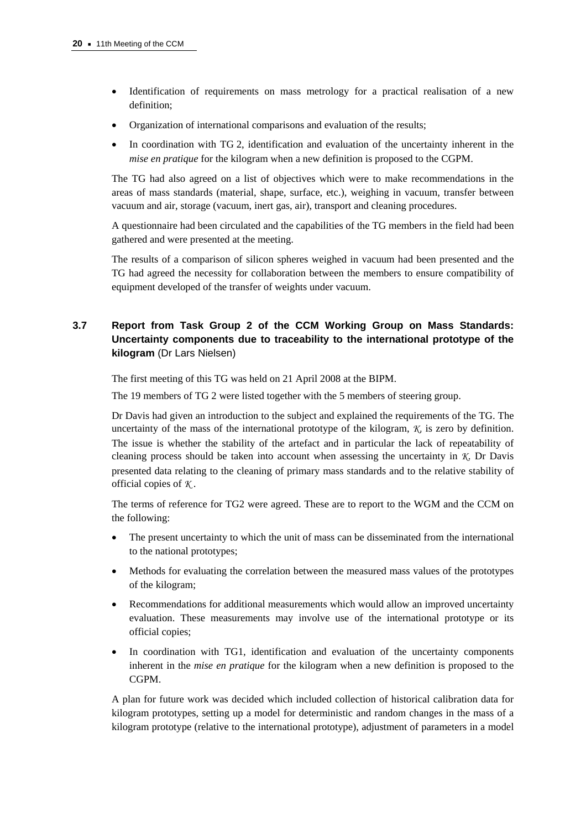- Identification of requirements on mass metrology for a practical realisation of a new definition;
- Organization of international comparisons and evaluation of the results;
- In coordination with TG 2, identification and evaluation of the uncertainty inherent in the *mise en pratique* for the kilogram when a new definition is proposed to the CGPM.

The TG had also agreed on a list of objectives which were to make recommendations in the areas of mass standards (material, shape, surface, etc.), weighing in vacuum, transfer between vacuum and air, storage (vacuum, inert gas, air), transport and cleaning procedures.

A questionnaire had been circulated and the capabilities of the TG members in the field had been gathered and were presented at the meeting.

The results of a comparison of silicon spheres weighed in vacuum had been presented and the TG had agreed the necessity for collaboration between the members to ensure compatibility of equipment developed of the transfer of weights under vacuum.

# **3.7 Report from Task Group 2 of the CCM Working Group on Mass Standards: Uncertainty components due to traceability to the international prototype of the kilogram** (Dr Lars Nielsen)

The first meeting of this TG was held on 21 April 2008 at the BIPM.

The 19 members of TG 2 were listed together with the 5 members of steering group.

Dr Davis had given an introduction to the subject and explained the requirements of the TG. The uncertainty of the mass of the international prototype of the kilogram, *K,* is zero by definition. The issue is whether the stability of the artefact and in particular the lack of repeatability of cleaning process should be taken into account when assessing the uncertainty in *K*. Dr Davis presented data relating to the cleaning of primary mass standards and to the relative stability of official copies of *K* .

The terms of reference for TG2 were agreed. These are to report to the WGM and the CCM on the following:

- The present uncertainty to which the unit of mass can be disseminated from the international to the national prototypes;
- Methods for evaluating the correlation between the measured mass values of the prototypes of the kilogram;
- Recommendations for additional measurements which would allow an improved uncertainty evaluation. These measurements may involve use of the international prototype or its official copies;
- In coordination with TG1, identification and evaluation of the uncertainty components inherent in the *mise en pratique* for the kilogram when a new definition is proposed to the CGPM.

A plan for future work was decided which included collection of historical calibration data for kilogram prototypes, setting up a model for deterministic and random changes in the mass of a kilogram prototype (relative to the international prototype), adjustment of parameters in a model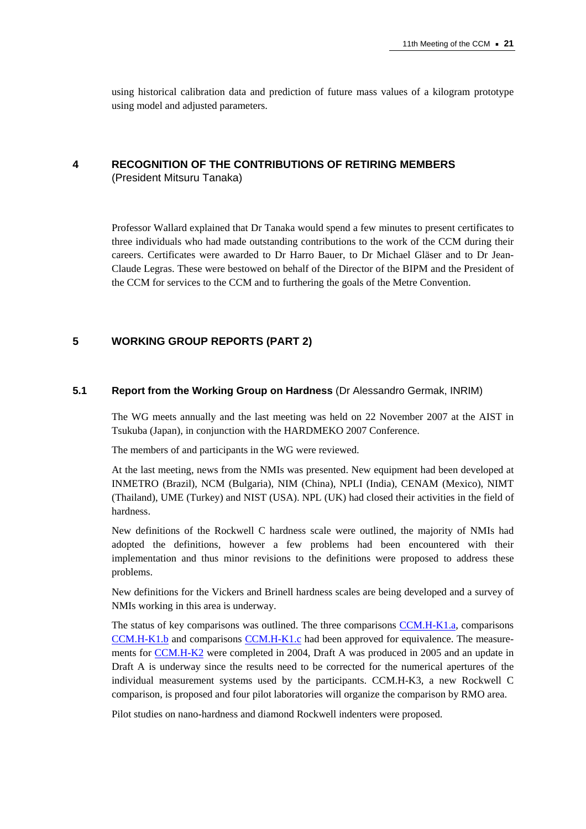using historical calibration data and prediction of future mass values of a kilogram prototype using model and adjusted parameters.

# **4 RECOGNITION OF THE CONTRIBUTIONS OF RETIRING MEMBERS**

(President Mitsuru Tanaka)

Professor Wallard explained that Dr Tanaka would spend a few minutes to present certificates to three individuals who had made outstanding contributions to the work of the CCM during their careers. Certificates were awarded to Dr Harro Bauer, to Dr Michael Gläser and to Dr Jean-Claude Legras. These were bestowed on behalf of the Director of the BIPM and the President of the CCM for services to the CCM and to furthering the goals of the Metre Convention.

# **5 WORKING GROUP REPORTS (PART 2)**

## **5.1 Report from the Working Group on Hardness** (Dr Alessandro Germak, INRIM)

The WG meets annually and the last meeting was held on 22 November 2007 at the AIST in Tsukuba (Japan), in conjunction with the HARDMEKO 2007 Conference.

The members of and participants in the WG were reviewed.

At the last meeting, news from the NMIs was presented. New equipment had been developed at INMETRO (Brazil), NCM (Bulgaria), NIM (China), NPLI (India), CENAM (Mexico), NIMT (Thailand), UME (Turkey) and NIST (USA). NPL (UK) had closed their activities in the field of hardness.

New definitions of the Rockwell C hardness scale were outlined, the majority of NMIs had adopted the definitions, however a few problems had been encountered with their implementation and thus minor revisions to the definitions were proposed to address these problems.

New definitions for the Vickers and Brinell hardness scales are being developed and a survey of NMIs working in this area is underway.

The status of key comparisons was outlined. The three comparis[ons CCM.H-K1.a, co](http://kcdb.bipm.org/appendixB/KCDB_ApB_info.asp?cmp_idy=380&cmp_cod=CCM.H-K1.a&prov=exalead)mparisons [CCM.H-K1.b an](http://kcdb.bipm.org/appendixB/KCDB_ApB_info.asp?cmp_idy=391&cmp_cod=CCM.H-K1.b&prov=exalead)d comparis[ons CCM.H-K1.c ha](http://kcdb.bipm.org/appendixB/KCDB_ApB_info.asp?cmp_idy=392&cmp_cod=CCM.H-K1.c&prov=exalead)d been approved for equivalence. The measurements f[or CCM.H-K2 w](http://kcdb.bipm.org/appendixB/KCDB_ApB_info.asp?cmp_idy=393&cmp_cod=CCM.H-K2&prov=exalead)ere completed in 2004, Draft A was produced in 2005 and an update in Draft A is underway since the results need to be corrected for the numerical apertures of the individual measurement systems used by the participants. CCM.H-K3, a new Rockwell C comparison, is proposed and four pilot laboratories will organize the comparison by RMO area.

Pilot studies on nano-hardness and diamond Rockwell indenters were proposed.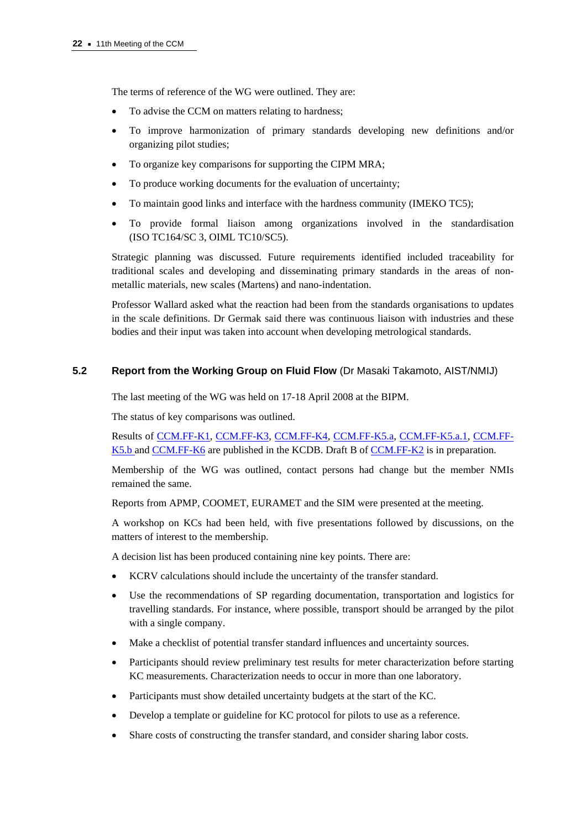The terms of reference of the WG were outlined. They are:

- To advise the CCM on matters relating to hardness;
- To improve harmonization of primary standards developing new definitions and/or organizing pilot studies;
- To organize key comparisons for supporting the CIPM MRA;
- To produce working documents for the evaluation of uncertainty;
- To maintain good links and interface with the hardness community (IMEKO TC5);
- To provide formal liaison among organizations involved in the standardisation (ISO TC164/SC 3, OIML TC10/SC5).

Strategic planning was discussed. Future requirements identified included traceability for traditional scales and developing and disseminating primary standards in the areas of nonmetallic materials, new scales (Martens) and nano-indentation.

Professor Wallard asked what the reaction had been from the standards organisations to updates in the scale definitions. Dr Germak said there was continuous liaison with industries and these bodies and their input was taken into account when developing metrological standards.

# **5.2 Report from the Working Group on Fluid Flow** (Dr Masaki Takamoto, AIST/NMIJ)

The last meeting of the WG was held on 17-18 April 2008 at the BIPM.

The status of key comparisons was outlined.

Results [of CCM.FF-K1,](http://kcdb.bipm.org/appendixB/KCDB_ApB_info.asp?cmp_idy=343&cmp_cod=CCM.FF-K1&prov=exalead) [CCM.FF-K3,](http://kcdb.bipm.org/appendixB/KCDB_ApB_info.asp?cmp_idy=358&cmp_cod=CCM.FF-K3&prov=exalead) [CCM.FF-K4,](http://kcdb.bipm.org/appendixB/KCDB_ApB_info.asp?cmp_idy=359&cmp_cod=CCM.FF-K4&prov=exalead) [CCM.FF-K5.a,](http://kcdb.bipm.org/appendixB/KCDB_ApB_info.asp?cmp_idy=372&cmp_cod=CCM.FF-K5.a&prov=exalead) [CCM.FF-K5.a.1,](http://kcdb.bipm.org/appendixB/KCDB_ApB_info.asp?cmp_idy=747&cmp_cod=CCM.FF-K5.a.1&prov=exalead) [CCM.FF-](http://kcdb.bipm.org/appendixB/KCDB_ApB_info.asp?cmp_idy=562&cmp_cod=CCM.FF-K5.b&prov=exalead)[K5.b a](http://kcdb.bipm.org/appendixB/KCDB_ApB_info.asp?cmp_idy=562&cmp_cod=CCM.FF-K5.b&prov=exalead)n[d CCM.FF-K6 are](http://kcdb.bipm.org/appendixB/KCDB_ApB_info.asp?cmp_idy=373&cmp_cod=CCM.FF-K6&prov=exalead) published in the KCDB. Draft B o[f CCM.FF-K2 is](http://kcdb.bipm.org/appendixB/KCDB_ApB_info.asp?cmp_idy=357&cmp_cod=CCM.FF-K2&prov=exalead) in preparation.

Membership of the WG was outlined, contact persons had change but the member NMIs remained the same.

Reports from APMP, COOMET, EURAMET and the SIM were presented at the meeting.

A workshop on KCs had been held, with five presentations followed by discussions, on the matters of interest to the membership.

A decision list has been produced containing nine key points. There are:

- KCRV calculations should include the uncertainty of the transfer standard.
- Use the recommendations of SP regarding documentation, transportation and logistics for travelling standards. For instance, where possible, transport should be arranged by the pilot with a single company.
- Make a checklist of potential transfer standard influences and uncertainty sources.
- Participants should review preliminary test results for meter characterization before starting KC measurements. Characterization needs to occur in more than one laboratory.
- Participants must show detailed uncertainty budgets at the start of the KC.
- Develop a template or guideline for KC protocol for pilots to use as a reference.
- Share costs of constructing the transfer standard, and consider sharing labor costs.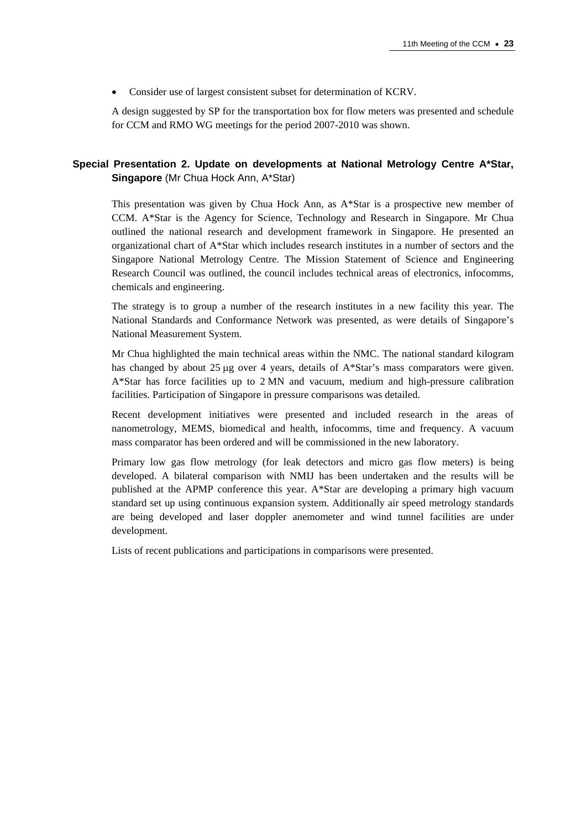• Consider use of largest consistent subset for determination of KCRV.

A design suggested by SP for the transportation box for flow meters was presented and schedule for CCM and RMO WG meetings for the period 2007-2010 was shown.

# **Special Presentation 2. Update on developments at National Metrology Centre A\*Star, Singapore** (Mr Chua Hock Ann, A\*Star)

This presentation was given by Chua Hock Ann, as A\*Star is a prospective new member of CCM. A\*Star is the Agency for Science, Technology and Research in Singapore. Mr Chua outlined the national research and development framework in Singapore. He presented an organizational chart of A\*Star which includes research institutes in a number of sectors and the Singapore National Metrology Centre. The Mission Statement of Science and Engineering Research Council was outlined, the council includes technical areas of electronics, infocomms, chemicals and engineering.

The strategy is to group a number of the research institutes in a new facility this year. The National Standards and Conformance Network was presented, as were details of Singapore's National Measurement System.

Mr Chua highlighted the main technical areas within the NMC. The national standard kilogram has changed by about 25  $\mu$ g over 4 years, details of A\*Star's mass comparators were given. A\*Star has force facilities up to 2 MN and vacuum, medium and high-pressure calibration facilities. Participation of Singapore in pressure comparisons was detailed.

Recent development initiatives were presented and included research in the areas of nanometrology, MEMS, biomedical and health, infocomms, time and frequency. A vacuum mass comparator has been ordered and will be commissioned in the new laboratory.

Primary low gas flow metrology (for leak detectors and micro gas flow meters) is being developed. A bilateral comparison with NMIJ has been undertaken and the results will be published at the APMP conference this year. A\*Star are developing a primary high vacuum standard set up using continuous expansion system. Additionally air speed metrology standards are being developed and laser doppler anemometer and wind tunnel facilities are under development.

Lists of recent publications and participations in comparisons were presented.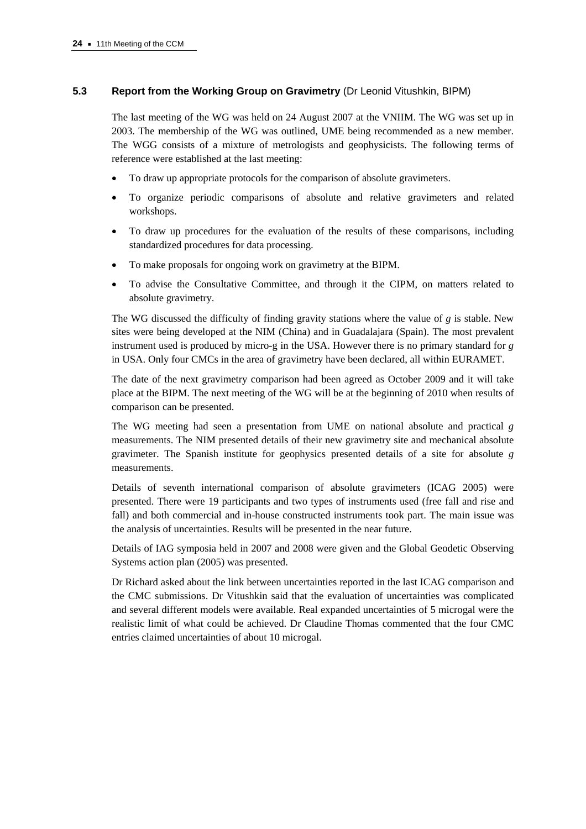# **5.3 Report from the Working Group on Gravimetry** (Dr Leonid Vitushkin, BIPM)

The last meeting of the WG was held on 24 August 2007 at the VNIIM. The WG was set up in 2003. The membership of the WG was outlined, UME being recommended as a new member. The WGG consists of a mixture of metrologists and geophysicists. The following terms of reference were established at the last meeting:

- To draw up appropriate protocols for the comparison of absolute gravimeters.
- To organize periodic comparisons of absolute and relative gravimeters and related workshops.
- To draw up procedures for the evaluation of the results of these comparisons, including standardized procedures for data processing.
- To make proposals for ongoing work on gravimetry at the BIPM.
- To advise the Consultative Committee, and through it the CIPM, on matters related to absolute gravimetry.

The WG discussed the difficulty of finding gravity stations where the value of *g* is stable. New sites were being developed at the NIM (China) and in Guadalajara (Spain). The most prevalent instrument used is produced by micro-g in the USA. However there is no primary standard for *g* in USA. Only four CMCs in the area of gravimetry have been declared, all within EURAMET.

The date of the next gravimetry comparison had been agreed as October 2009 and it will take place at the BIPM. The next meeting of the WG will be at the beginning of 2010 when results of comparison can be presented.

The WG meeting had seen a presentation from UME on national absolute and practical *g* measurements. The NIM presented details of their new gravimetry site and mechanical absolute gravimeter. The Spanish institute for geophysics presented details of a site for absolute *g* measurements.

Details of seventh international comparison of absolute gravimeters (ICAG 2005) were presented. There were 19 participants and two types of instruments used (free fall and rise and fall) and both commercial and in-house constructed instruments took part. The main issue was the analysis of uncertainties. Results will be presented in the near future.

Details of IAG symposia held in 2007 and 2008 were given and the Global Geodetic Observing Systems action plan (2005) was presented.

Dr Richard asked about the link between uncertainties reported in the last ICAG comparison and the CMC submissions. Dr Vitushkin said that the evaluation of uncertainties was complicated and several different models were available. Real expanded uncertainties of 5 microgal were the realistic limit of what could be achieved. Dr Claudine Thomas commented that the four CMC entries claimed uncertainties of about 10 microgal.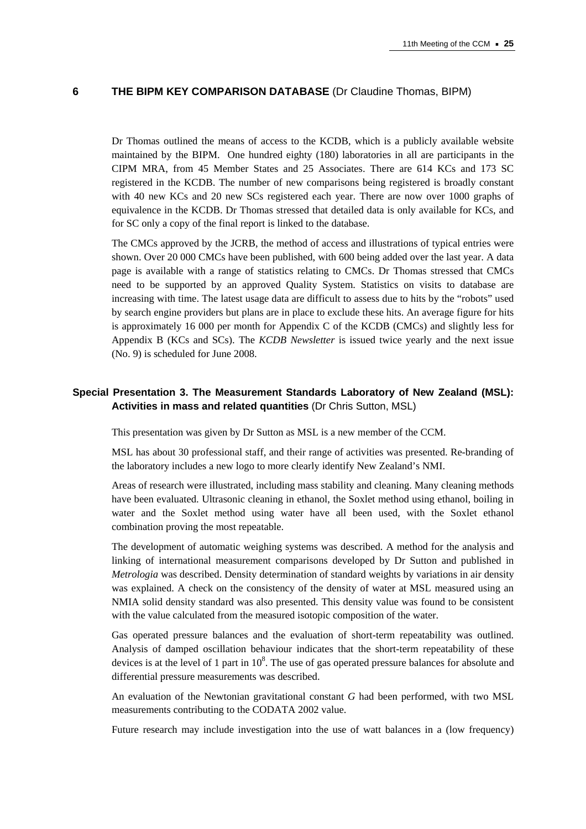## **6 THE BIPM KEY COMPARISON DATABASE** (Dr Claudine Thomas, BIPM)

Dr Thomas outlined the means of access to the KCDB, which is a publicly available website maintained by the BIPM. One hundred eighty (180) laboratories in all are participants in the CIPM MRA, from 45 Member States and 25 Associates. There are 614 KCs and 173 SC registered in the KCDB. The number of new comparisons being registered is broadly constant with 40 new KCs and 20 new SCs registered each year. There are now over 1000 graphs of equivalence in the KCDB. Dr Thomas stressed that detailed data is only available for KCs, and for SC only a copy of the final report is linked to the database.

The CMCs approved by the JCRB, the method of access and illustrations of typical entries were shown. Over 20 000 CMCs have been published, with 600 being added over the last year. A data page is available with a range of statistics relating to CMCs. Dr Thomas stressed that CMCs need to be supported by an approved Quality System. Statistics on visits to database are increasing with time. The latest usage data are difficult to assess due to hits by the "robots" used by search engine providers but plans are in place to exclude these hits. An average figure for hits is approximately 16 000 per month for Appendix C of the KCDB (CMCs) and slightly less for Appendix B (KCs and SCs). The *KCDB Newsletter* is issued twice yearly and the next issue (No. 9) is scheduled for June 2008.

# **Special Presentation 3. The Measurement Standards Laboratory of New Zealand (MSL): Activities in mass and related quantities** (Dr Chris Sutton, MSL)

This presentation was given by Dr Sutton as MSL is a new member of the CCM.

MSL has about 30 professional staff, and their range of activities was presented. Re-branding of the laboratory includes a new logo to more clearly identify New Zealand's NMI.

Areas of research were illustrated, including mass stability and cleaning. Many cleaning methods have been evaluated. Ultrasonic cleaning in ethanol, the Soxlet method using ethanol, boiling in water and the Soxlet method using water have all been used, with the Soxlet ethanol combination proving the most repeatable.

The development of automatic weighing systems was described. A method for the analysis and linking of international measurement comparisons developed by Dr Sutton and published in *Metrologia* was described. Density determination of standard weights by variations in air density was explained. A check on the consistency of the density of water at MSL measured using an NMIA solid density standard was also presented. This density value was found to be consistent with the value calculated from the measured isotopic composition of the water.

Gas operated pressure balances and the evaluation of short-term repeatability was outlined. Analysis of damped oscillation behaviour indicates that the short-term repeatability of these devices is at the level of 1 part in  $10^8$ . The use of gas operated pressure balances for absolute and differential pressure measurements was described.

An evaluation of the Newtonian gravitational constant *G* had been performed, with two MSL measurements contributing to the CODATA 2002 value.

Future research may include investigation into the use of watt balances in a (low frequency)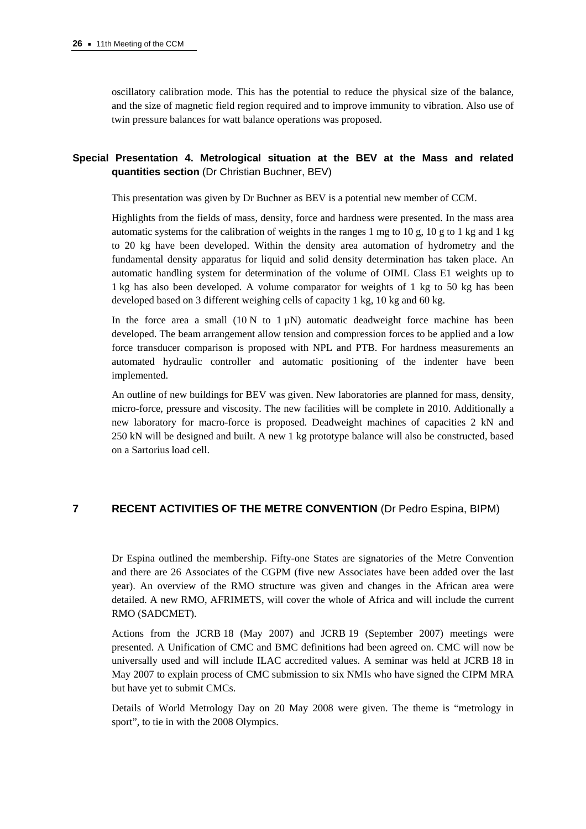oscillatory calibration mode. This has the potential to reduce the physical size of the balance, and the size of magnetic field region required and to improve immunity to vibration. Also use of twin pressure balances for watt balance operations was proposed.

# **Special Presentation 4. Metrological situation at the BEV at the Mass and related quantities section** (Dr Christian Buchner, BEV)

This presentation was given by Dr Buchner as BEV is a potential new member of CCM.

Highlights from the fields of mass, density, force and hardness were presented. In the mass area automatic systems for the calibration of weights in the ranges 1 mg to 10 g, 10 g to 1 kg and 1 kg to 20 kg have been developed. Within the density area automation of hydrometry and the fundamental density apparatus for liquid and solid density determination has taken place. An automatic handling system for determination of the volume of OIML Class E1 weights up to 1 kg has also been developed. A volume comparator for weights of 1 kg to 50 kg has been developed based on 3 different weighing cells of capacity 1 kg, 10 kg and 60 kg.

In the force area a small  $(10 \text{ N to } 1 \text{ uN})$  automatic deadweight force machine has been developed. The beam arrangement allow tension and compression forces to be applied and a low force transducer comparison is proposed with NPL and PTB. For hardness measurements an automated hydraulic controller and automatic positioning of the indenter have been implemented.

An outline of new buildings for BEV was given. New laboratories are planned for mass, density, micro-force, pressure and viscosity. The new facilities will be complete in 2010. Additionally a new laboratory for macro-force is proposed. Deadweight machines of capacities 2 kN and 250 kN will be designed and built. A new 1 kg prototype balance will also be constructed, based on a Sartorius load cell.

## **7 RECENT ACTIVITIES OF THE METRE CONVENTION** (Dr Pedro Espina, BIPM)

Dr Espina outlined the membership. Fifty-one States are signatories of the Metre Convention and there are 26 Associates of the CGPM (five new Associates have been added over the last year). An overview of the RMO structure was given and changes in the African area were detailed. A new RMO, AFRIMETS, will cover the whole of Africa and will include the current RMO (SADCMET).

Actions from the JCRB 18 (May 2007) and JCRB 19 (September 2007) meetings were presented. A Unification of CMC and BMC definitions had been agreed on. CMC will now be universally used and will include ILAC accredited values. A seminar was held at JCRB 18 in May 2007 to explain process of CMC submission to six NMIs who have signed the CIPM MRA but have yet to submit CMCs.

Details of World Metrology Day on 20 May 2008 were given. The theme is "metrology in sport", to tie in with the 2008 Olympics.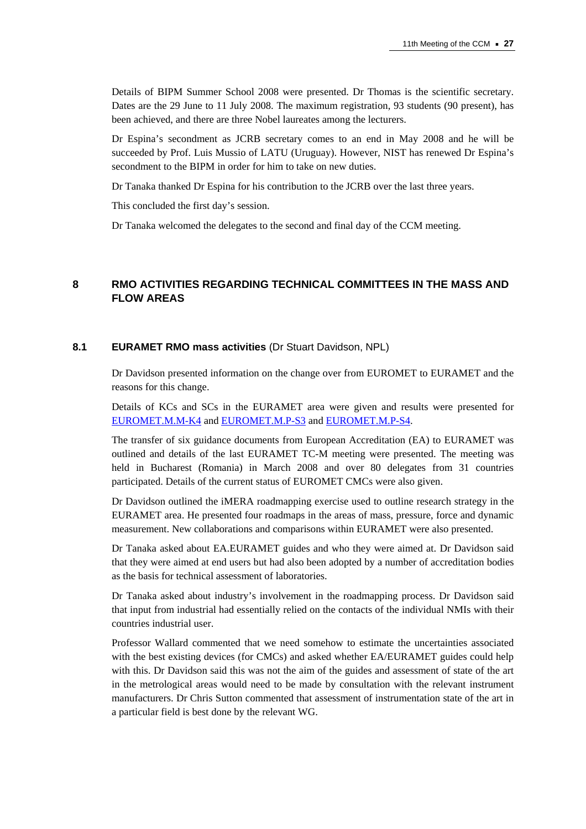Details of BIPM Summer School 2008 were presented. Dr Thomas is the scientific secretary. Dates are the 29 June to 11 July 2008. The maximum registration, 93 students (90 present), has been achieved, and there are three Nobel laureates among the lecturers.

Dr Espina's secondment as JCRB secretary comes to an end in May 2008 and he will be succeeded by Prof. Luis Mussio of LATU (Uruguay). However, NIST has renewed Dr Espina's secondment to the BIPM in order for him to take on new duties.

Dr Tanaka thanked Dr Espina for his contribution to the JCRB over the last three years.

This concluded the first day's session.

Dr Tanaka welcomed the delegates to the second and final day of the CCM meeting.

# **8 RMO ACTIVITIES REGARDING TECHNICAL COMMITTEES IN THE MASS AND FLOW AREAS**

#### **8.1 EURAMET RMO mass activities** (Dr Stuart Davidson, NPL)

Dr Davidson presented information on the change over from EUROMET to EURAMET and the reasons for this change.

Details of KCs and SCs in the EURAMET area were given and results were presented for [EUROMET.M.M-K4 a](http://kcdb.bipm.org/appendixB/KCDB_ApB_info.asp?cmp_idy=438&cmp_cod=EUROMET.M.M-K4&prov=exalead)n[d EUROMET.M.P-S3 an](http://kcdb.bipm.org/appendixB/KCDB_ApB_info.asp?cmp_idy=800&cmp_cod=EUROMET.M.P-S3&prov=exalead)[d EUROMET.M.P-S4.](http://kcdb.bipm.org/appendixB/KCDB_ApB_info.asp?cmp_idy=846&cmp_cod=EUROMET.M.P-S4&prov=exalead) 

The transfer of six guidance documents from European Accreditation (EA) to EURAMET was outlined and details of the last EURAMET TC-M meeting were presented. The meeting was held in Bucharest (Romania) in March 2008 and over 80 delegates from 31 countries participated. Details of the current status of EUROMET CMCs were also given.

Dr Davidson outlined the iMERA roadmapping exercise used to outline research strategy in the EURAMET area. He presented four roadmaps in the areas of mass, pressure, force and dynamic measurement. New collaborations and comparisons within EURAMET were also presented.

Dr Tanaka asked about EA.EURAMET guides and who they were aimed at. Dr Davidson said that they were aimed at end users but had also been adopted by a number of accreditation bodies as the basis for technical assessment of laboratories.

Dr Tanaka asked about industry's involvement in the roadmapping process. Dr Davidson said that input from industrial had essentially relied on the contacts of the individual NMIs with their countries industrial user.

Professor Wallard commented that we need somehow to estimate the uncertainties associated with the best existing devices (for CMCs) and asked whether EA/EURAMET guides could help with this. Dr Davidson said this was not the aim of the guides and assessment of state of the art in the metrological areas would need to be made by consultation with the relevant instrument manufacturers. Dr Chris Sutton commented that assessment of instrumentation state of the art in a particular field is best done by the relevant WG.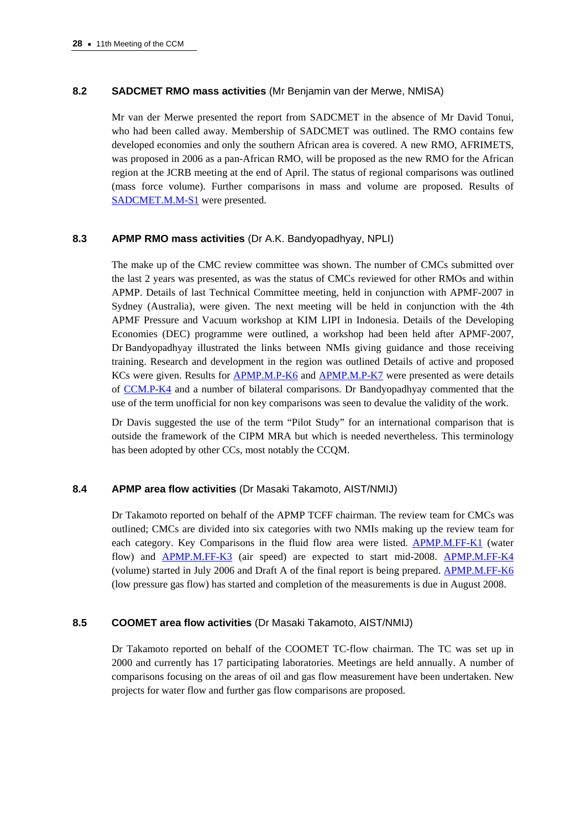## **8.2 SADCMET RMO mass activities** (Mr Benjamin van der Merwe, NMISA)

Mr van der Merwe presented the report from SADCMET in the absence of Mr David Tonui, who had been called away. Membership of SADCMET was outlined. The RMO contains few developed economies and only the southern African area is covered. A new RMO, AFRIMETS, was proposed in 2006 as a pan-African RMO, will be proposed as the new RMO for the African region at the JCRB meeting at the end of April. The status of regional comparisons was outlined (mass force volume). Further comparisons in mass and volume are proposed. Results of [SADCMET.M.M-S1 wer](http://kcdb.bipm.org/appendixB/KCDB_ApB_info.asp?cmp_idy=727&cmp_cod=SADCMET.M.M-S1&prov=exalead)e presented.

## **8.3 APMP RMO mass activities** (Dr A.K. Bandyopadhyay, NPLI)

The make up of the CMC review committee was shown. The number of CMCs submitted over the last 2 years was presented, as was the status of CMCs reviewed for other RMOs and within APMP. Details of last Technical Committee meeting, held in conjunction with APMF-2007 in Sydney (Australia), were given. The next meeting will be held in conjunction with the 4th APMF Pressure and Vacuum workshop at KIM LIPI in Indonesia. Details of the Developing Economies (DEC) programme were outlined, a workshop had been held after APMF-2007, Dr Bandyopadhyay illustrated the links between NMIs giving guidance and those receiving training. Research and development in the region was outlined Details of active and proposed KCs were given. Results f[or APMP.M.P-K6 an](http://kcdb.bipm.org/appendixB/KCDB_ApB_info.asp?cmp_idy=136&cmp_cod=APMP.M.P-K6&prov=exalead)[d APMP.M.P-K7 w](http://kcdb.bipm.org/appendixB/KCDB_ApB_info.asp?cmp_idy=137&cmp_cod=APMP.M.P-K7&prov=exalead)ere presented as were details [of CCM.P-K4 an](http://kcdb.bipm.org/appendixB/KCDB_ApB_info.asp?cmp_idy=407&cmp_cod=CCM.P-K4&prov=exalead)d a number of bilateral comparisons. Dr Bandyopadhyay commented that the use of the term unofficial for non key comparisons was seen to devalue the validity of the work.

Dr Davis suggested the use of the term "Pilot Study" for an international comparison that is outside the framework of the CIPM MRA but which is needed nevertheless. This terminology has been adopted by other CCs, most notably the CCOM.

## **8.4 APMP area flow activities** (Dr Masaki Takamoto, AIST/NMIJ)

Dr Takamoto reported on behalf of the APMP TCFF chairman. The review team for CMCs was outlined; CMCs are divided into six categories with two NMIs making up the review team for each category. Key Comparisons in the fluid flow area were listed. **APMP.M.FF-K1** (water flow) and [APMP.M.FF-K3 \(ai](http://kcdb.bipm.org/appendixB/KCDB_ApB_info.asp?cmp_idy=376&cmp_cod=APMP.M.FF-K3&prov=exalead)r speed) are expected to start mid-2008. [APMP.M.FF-K4](http://kcdb.bipm.org/appendixB/KCDB_ApB_info.asp?cmp_idy=377&cmp_cod=APMP.M.FF-K4&prov=exalead) (volume) started in July 2006 and Draft A of the final report is being prepare[d. APMP.M.FF-K6](http://kcdb.bipm.org/appendixB/KCDB_ApB_info.asp?cmp_idy=379&cmp_cod=APMP.M.FF-K6&prov=exalead) (low pressure gas flow) has started and completion of the measurements is due in August 2008.

## **8.5 COOMET area flow activities** (Dr Masaki Takamoto, AIST/NMIJ)

Dr Takamoto reported on behalf of the COOMET TC-flow chairman. The TC was set up in 2000 and currently has 17 participating laboratories. Meetings are held annually. A number of comparisons focusing on the areas of oil and gas flow measurement have been undertaken. New projects for water flow and further gas flow comparisons are proposed.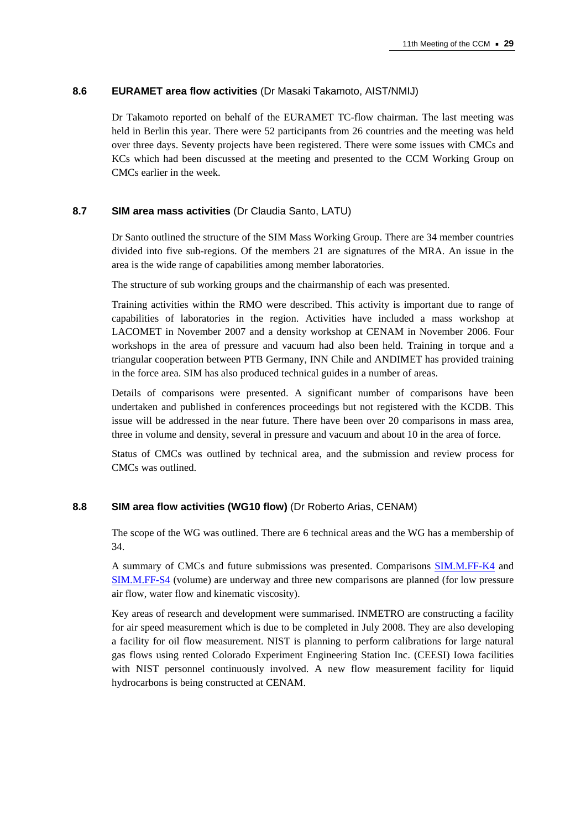## **8.6 EURAMET area flow activities** (Dr Masaki Takamoto, AIST/NMIJ)

Dr Takamoto reported on behalf of the EURAMET TC-flow chairman. The last meeting was held in Berlin this year. There were 52 participants from 26 countries and the meeting was held over three days. Seventy projects have been registered. There were some issues with CMCs and KCs which had been discussed at the meeting and presented to the CCM Working Group on CMCs earlier in the week.

#### **8.7 SIM area mass activities** (Dr Claudia Santo, LATU)

Dr Santo outlined the structure of the SIM Mass Working Group. There are 34 member countries divided into five sub-regions. Of the members 21 are signatures of the MRA. An issue in the area is the wide range of capabilities among member laboratories.

The structure of sub working groups and the chairmanship of each was presented.

Training activities within the RMO were described. This activity is important due to range of capabilities of laboratories in the region. Activities have included a mass workshop at LACOMET in November 2007 and a density workshop at CENAM in November 2006. Four workshops in the area of pressure and vacuum had also been held. Training in torque and a triangular cooperation between PTB Germany, INN Chile and ANDIMET has provided training in the force area. SIM has also produced technical guides in a number of areas.

Details of comparisons were presented. A significant number of comparisons have been undertaken and published in conferences proceedings but not registered with the KCDB. This issue will be addressed in the near future. There have been over 20 comparisons in mass area, three in volume and density, several in pressure and vacuum and about 10 in the area of force.

Status of CMCs was outlined by technical area, and the submission and review process for CMCs was outlined.

# **8.8 SIM area flow activities (WG10 flow)** (Dr Roberto Arias, CENAM)

The scope of the WG was outlined. There are 6 technical areas and the WG has a membership of 34.

A summary of CMCs and future submissions was presented. Comparis[ons SIM.M.FF-K4 an](http://kcdb.bipm.org/appendixB/KCDB_ApB_info.asp?cmp_idy=474&cmp_cod=SIM.M.FF-K4&prov=exalead)d [SIM.M.FF-S4 \(vol](http://kcdb.bipm.org/appendixB/KCDB_ApB_info.asp?cmp_idy=843&cmp_cod=SIM.M.FF-S4&prov=exalead)ume) are underway and three new comparisons are planned (for low pressure air flow, water flow and kinematic viscosity).

Key areas of research and development were summarised. INMETRO are constructing a facility for air speed measurement which is due to be completed in July 2008. They are also developing a facility for oil flow measurement. NIST is planning to perform calibrations for large natural gas flows using rented Colorado Experiment Engineering Station Inc. (CEESI) Iowa facilities with NIST personnel continuously involved. A new flow measurement facility for liquid hydrocarbons is being constructed at CENAM.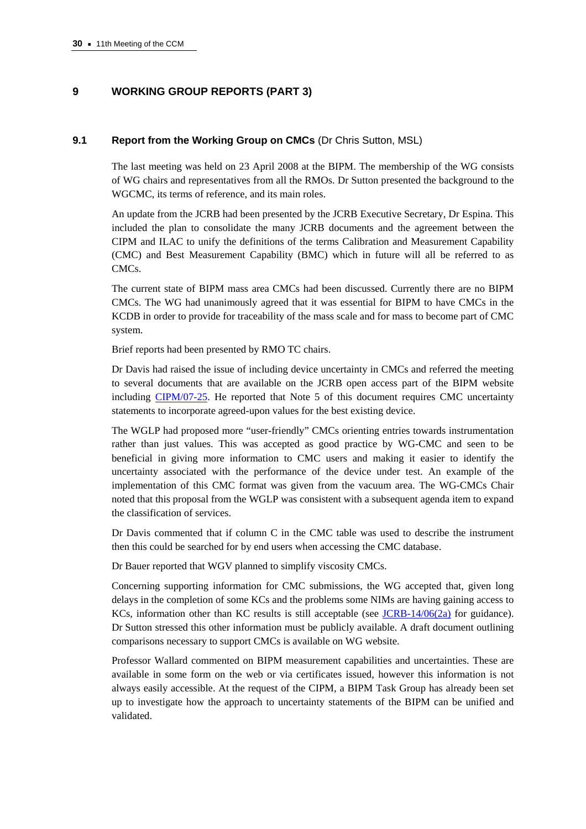# **9 WORKING GROUP REPORTS (PART 3)**

#### **9.1 Report from the Working Group on CMCs** (Dr Chris Sutton, MSL)

The last meeting was held on 23 April 2008 at the BIPM. The membership of the WG consists of WG chairs and representatives from all the RMOs. Dr Sutton presented the background to the WGCMC, its terms of reference, and its main roles.

An update from the JCRB had been presented by the JCRB Executive Secretary, Dr Espina. This included the plan to consolidate the many JCRB documents and the agreement between the CIPM and ILAC to unify the definitions of the terms Calibration and Measurement Capability (CMC) and Best Measurement Capability (BMC) which in future will all be referred to as CMCs.

The current state of BIPM mass area CMCs had been discussed. Currently there are no BIPM CMCs. The WG had unanimously agreed that it was essential for BIPM to have CMCs in the KCDB in order to provide for traceability of the mass scale and for mass to become part of CMC system.

Brief reports had been presented by RMO TC chairs.

Dr Davis had raised the issue of including device uncertainty in CMCs and referred the meeting to several documents that are available on the JCRB open access part of the BIPM website includin[g CIPM/07-25. He](https://www.bipm.org/cc/CIPM/Allowed/96/CIPM_2007_25_Onsite_visits_approved.pdf) reported that Note 5 of this document requires CMC uncertainty statements to incorporate agreed-upon values for the best existing device.

The WGLP had proposed more "user-friendly" CMCs orienting entries towards instrumentation rather than just values. This was accepted as good practice by WG-CMC and seen to be beneficial in giving more information to CMC users and making it easier to identify the uncertainty associated with the performance of the device under test. An example of the implementation of this CMC format was given from the vacuum area. The WG-CMCs Chair noted that this proposal from the WGLP was consistent with a subsequent agenda item to expand the classification of services.

Dr Davis commented that if column C in the CMC table was used to describe the instrument then this could be searched for by end users when accessing the CMC database.

Dr Bauer reported that WGV planned to simplify viscosity CMCs.

Concerning supporting information for CMC submissions, the WG accepted that, given long delays in the completion of some KCs and the problems some NIMs are having gaining access to KCs, information other than KC results is still acceptable ([see JCRB-14/06\(2a\) fo](https://www.bipm.org/utils/common/documents/jcrb/AppC_criteria.pdf)r guidance). Dr Sutton stressed this other information must be publicly available. A draft document outlining comparisons necessary to support CMCs is available on WG website.

Professor Wallard commented on BIPM measurement capabilities and uncertainties. These are available in some form on the web or via certificates issued, however this information is not always easily accessible. At the request of the CIPM, a BIPM Task Group has already been set up to investigate how the approach to uncertainty statements of the BIPM can be unified and validated.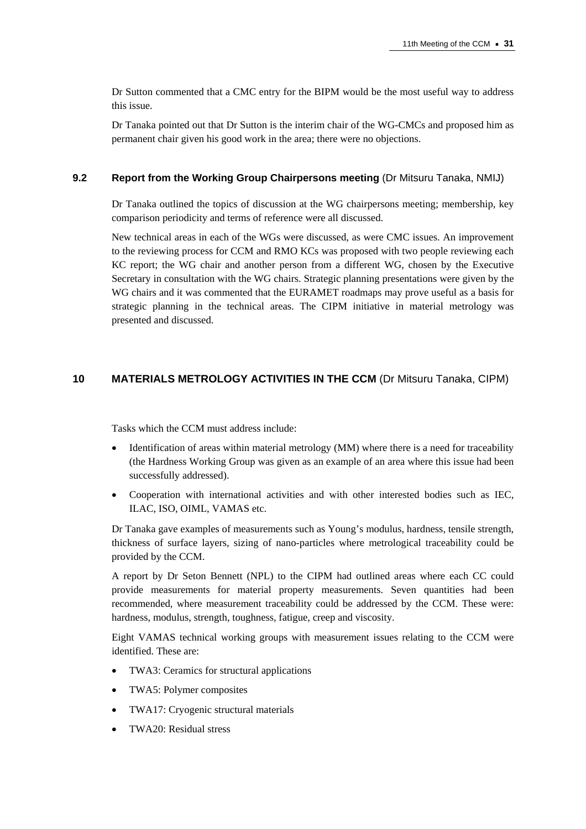Dr Sutton commented that a CMC entry for the BIPM would be the most useful way to address this issue.

Dr Tanaka pointed out that Dr Sutton is the interim chair of the WG-CMCs and proposed him as permanent chair given his good work in the area; there were no objections.

#### **9.2 Report from the Working Group Chairpersons meeting** (Dr Mitsuru Tanaka, NMIJ)

Dr Tanaka outlined the topics of discussion at the WG chairpersons meeting; membership, key comparison periodicity and terms of reference were all discussed.

New technical areas in each of the WGs were discussed, as were CMC issues. An improvement to the reviewing process for CCM and RMO KCs was proposed with two people reviewing each KC report; the WG chair and another person from a different WG, chosen by the Executive Secretary in consultation with the WG chairs. Strategic planning presentations were given by the WG chairs and it was commented that the EURAMET roadmaps may prove useful as a basis for strategic planning in the technical areas. The CIPM initiative in material metrology was presented and discussed.

# **10 MATERIALS METROLOGY ACTIVITIES IN THE CCM** (Dr Mitsuru Tanaka, CIPM)

Tasks which the CCM must address include:

- Identification of areas within material metrology (MM) where there is a need for traceability (the Hardness Working Group was given as an example of an area where this issue had been successfully addressed).
- Cooperation with international activities and with other interested bodies such as IEC, ILAC, ISO, OIML, VAMAS etc.

Dr Tanaka gave examples of measurements such as Young's modulus, hardness, tensile strength, thickness of surface layers, sizing of nano-particles where metrological traceability could be provided by the CCM.

A report by Dr Seton Bennett (NPL) to the CIPM had outlined areas where each CC could provide measurements for material property measurements. Seven quantities had been recommended, where measurement traceability could be addressed by the CCM. These were: hardness, modulus, strength, toughness, fatigue, creep and viscosity.

Eight VAMAS technical working groups with measurement issues relating to the CCM were identified. These are:

- TWA3: Ceramics for structural applications
- TWA5: Polymer composites
- TWA17: Cryogenic structural materials
- TWA20: Residual stress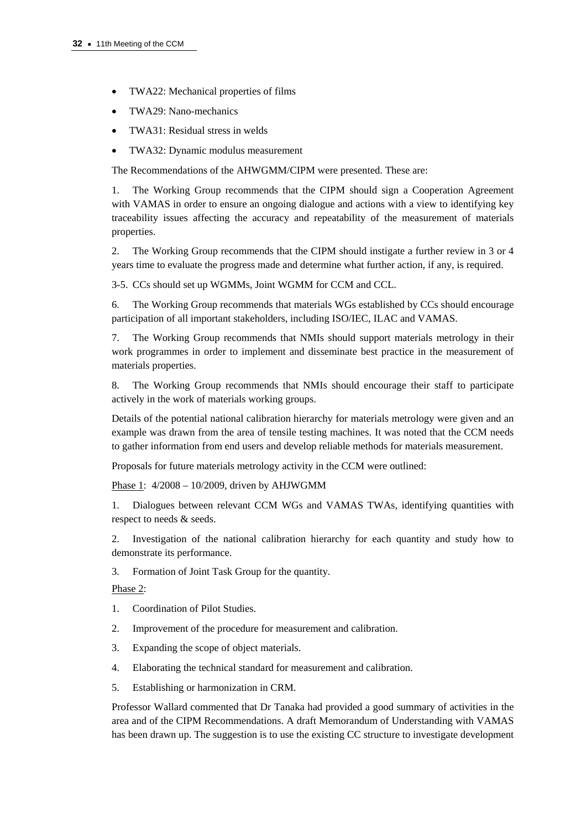- TWA22: Mechanical properties of films
- TWA29: Nano-mechanics
- TWA31: Residual stress in welds
- TWA32: Dynamic modulus measurement

The Recommendations of the AHWGMM/CIPM were presented. These are:

1. The Working Group recommends that the CIPM should sign a Cooperation Agreement with VAMAS in order to ensure an ongoing dialogue and actions with a view to identifying key traceability issues affecting the accuracy and repeatability of the measurement of materials properties.

2. The Working Group recommends that the CIPM should instigate a further review in 3 or 4 years time to evaluate the progress made and determine what further action, if any, is required.

3-5. CCs should set up WGMMs, Joint WGMM for CCM and CCL.

6. The Working Group recommends that materials WGs established by CCs should encourage participation of all important stakeholders, including ISO/IEC, ILAC and VAMAS.

7. The Working Group recommends that NMIs should support materials metrology in their work programmes in order to implement and disseminate best practice in the measurement of materials properties.

8. The Working Group recommends that NMIs should encourage their staff to participate actively in the work of materials working groups.

Details of the potential national calibration hierarchy for materials metrology were given and an example was drawn from the area of tensile testing machines. It was noted that the CCM needs to gather information from end users and develop reliable methods for materials measurement.

Proposals for future materials metrology activity in the CCM were outlined:

Phase 1: 4/2008 – 10/2009, driven by AHJWGMM

1. Dialogues between relevant CCM WGs and VAMAS TWAs, identifying quantities with respect to needs & seeds.

2. Investigation of the national calibration hierarchy for each quantity and study how to demonstrate its performance.

3. Formation of Joint Task Group for the quantity.

Phase 2:

- 1. Coordination of Pilot Studies.
- 2. Improvement of the procedure for measurement and calibration.
- 3. Expanding the scope of object materials.
- 4. Elaborating the technical standard for measurement and calibration.
- 5. Establishing or harmonization in CRM.

Professor Wallard commented that Dr Tanaka had provided a good summary of activities in the area and of the CIPM Recommendations. A draft Memorandum of Understanding with VAMAS has been drawn up. The suggestion is to use the existing CC structure to investigate development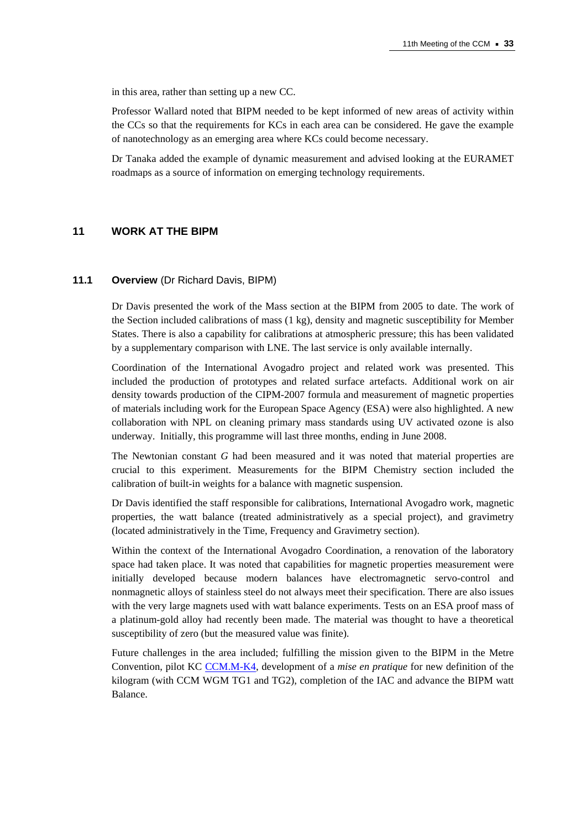in this area, rather than setting up a new CC.

Professor Wallard noted that BIPM needed to be kept informed of new areas of activity within the CCs so that the requirements for KCs in each area can be considered. He gave the example of nanotechnology as an emerging area where KCs could become necessary.

Dr Tanaka added the example of dynamic measurement and advised looking at the EURAMET roadmaps as a source of information on emerging technology requirements.

## **11 WORK AT THE BIPM**

#### **11.1 Overview** (Dr Richard Davis, BIPM)

Dr Davis presented the work of the Mass section at the BIPM from 2005 to date. The work of the Section included calibrations of mass  $(1 \text{ kg})$ , density and magnetic susceptibility for Member States. There is also a capability for calibrations at atmospheric pressure; this has been validated by a supplementary comparison with LNE. The last service is only available internally.

Coordination of the International Avogadro project and related work was presented. This included the production of prototypes and related surface artefacts. Additional work on air density towards production of the CIPM-2007 formula and measurement of magnetic properties of materials including work for the European Space Agency (ESA) were also highlighted. A new collaboration with NPL on cleaning primary mass standards using UV activated ozone is also underway. Initially, this programme will last three months, ending in June 2008.

The Newtonian constant *G* had been measured and it was noted that material properties are crucial to this experiment. Measurements for the BIPM Chemistry section included the calibration of built-in weights for a balance with magnetic suspension.

Dr Davis identified the staff responsible for calibrations, International Avogadro work, magnetic properties, the watt balance (treated administratively as a special project), and gravimetry (located administratively in the Time, Frequency and Gravimetry section).

Within the context of the International Avogadro Coordination, a renovation of the laboratory space had taken place. It was noted that capabilities for magnetic properties measurement were initially developed because modern balances have electromagnetic servo-control and nonmagnetic alloys of stainless steel do not always meet their specification. There are also issues with the very large magnets used with watt balance experiments. Tests on an ESA proof mass of a platinum-gold alloy had recently been made. The material was thought to have a theoretical susceptibility of zero (but the measured value was finite).

Future challenges in the area included; fulfilling the mission given to the BIPM in the Metre Convention, pilot K[C CCM.M-K4, deve](http://kcdb.bipm.org/appendixB/KCDB_ApB_info.asp?cmp_idy=403&cmp_cod=CCM.M-K4&prov=exalead)lopment of a *mise en pratique* for new definition of the kilogram (with CCM WGM TG1 and TG2), completion of the IAC and advance the BIPM watt Balance.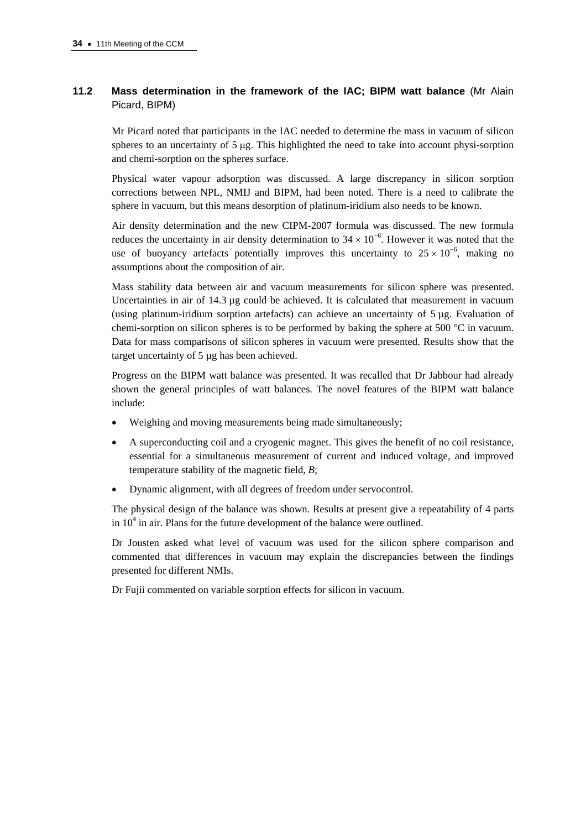# **11.2 Mass determination in the framework of the IAC; BIPM watt balance** (Mr Alain Picard, BIPM)

Mr Picard noted that participants in the IAC needed to determine the mass in vacuum of silicon spheres to an uncertainty of 5 μg. This highlighted the need to take into account physi-sorption and chemi-sorption on the spheres surface.

Physical water vapour adsorption was discussed. A large discrepancy in silicon sorption corrections between NPL, NMIJ and BIPM, had been noted. There is a need to calibrate the sphere in vacuum, but this means desorption of platinum-iridium also needs to be known.

Air density determination and the new CIPM-2007 formula was discussed. The new formula reduces the uncertainty in air density determination to  $34 \times 10^{-6}$ . However it was noted that the use of buoyancy artefacts potentially improves this uncertainty to  $25 \times 10^{-6}$ , making no assumptions about the composition of air.

Mass stability data between air and vacuum measurements for silicon sphere was presented. Uncertainties in air of 14.3 µg could be achieved. It is calculated that measurement in vacuum (using platinum-iridium sorption artefacts) can achieve an uncertainty of  $5 \mu g$ . Evaluation of chemi-sorption on silicon spheres is to be performed by baking the sphere at 500 °C in vacuum. Data for mass comparisons of silicon spheres in vacuum were presented. Results show that the target uncertainty of 5 µg has been achieved.

Progress on the BIPM watt balance was presented. It was recalled that Dr Jabbour had already shown the general principles of watt balances. The novel features of the BIPM watt balance include:

- Weighing and moving measurements being made simultaneously;
- A superconducting coil and a cryogenic magnet. This gives the benefit of no coil resistance, essential for a simultaneous measurement of current and induced voltage, and improved temperature stability of the magnetic field, *B*;
- Dynamic alignment, with all degrees of freedom under servocontrol.

The physical design of the balance was shown. Results at present give a repeatability of 4 parts in  $10<sup>4</sup>$  in air. Plans for the future development of the balance were outlined.

Dr Jousten asked what level of vacuum was used for the silicon sphere comparison and commented that differences in vacuum may explain the discrepancies between the findings presented for different NMIs.

Dr Fujii commented on variable sorption effects for silicon in vacuum.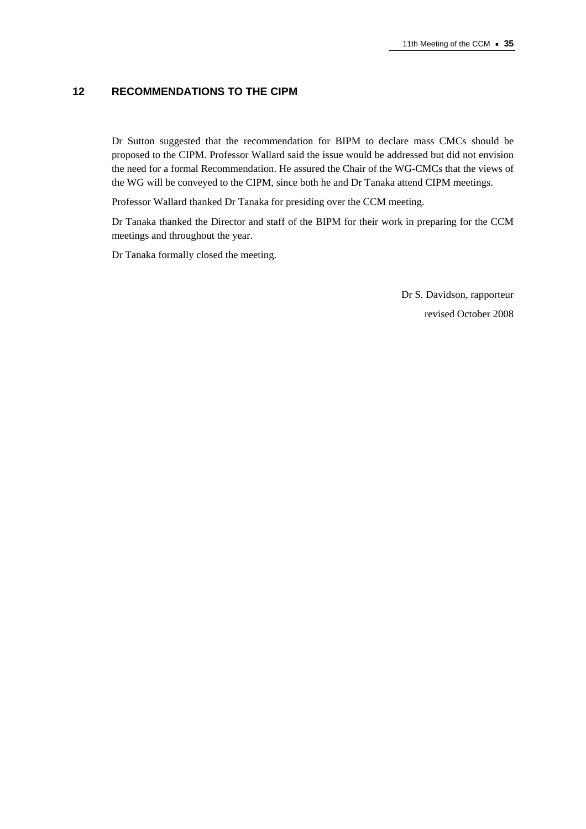# **12 RECOMMENDATIONS TO THE CIPM**

Dr Sutton suggested that the recommendation for BIPM to declare mass CMCs should be proposed to the CIPM. Professor Wallard said the issue would be addressed but did not envision the need for a formal Recommendation. He assured the Chair of the WG-CMCs that the views of the WG will be conveyed to the CIPM, since both he and Dr Tanaka attend CIPM meetings.

Professor Wallard thanked Dr Tanaka for presiding over the CCM meeting.

Dr Tanaka thanked the Director and staff of the BIPM for their work in preparing for the CCM meetings and throughout the year.

Dr Tanaka formally closed the meeting.

Dr S. Davidson, rapporteur revised October 2008